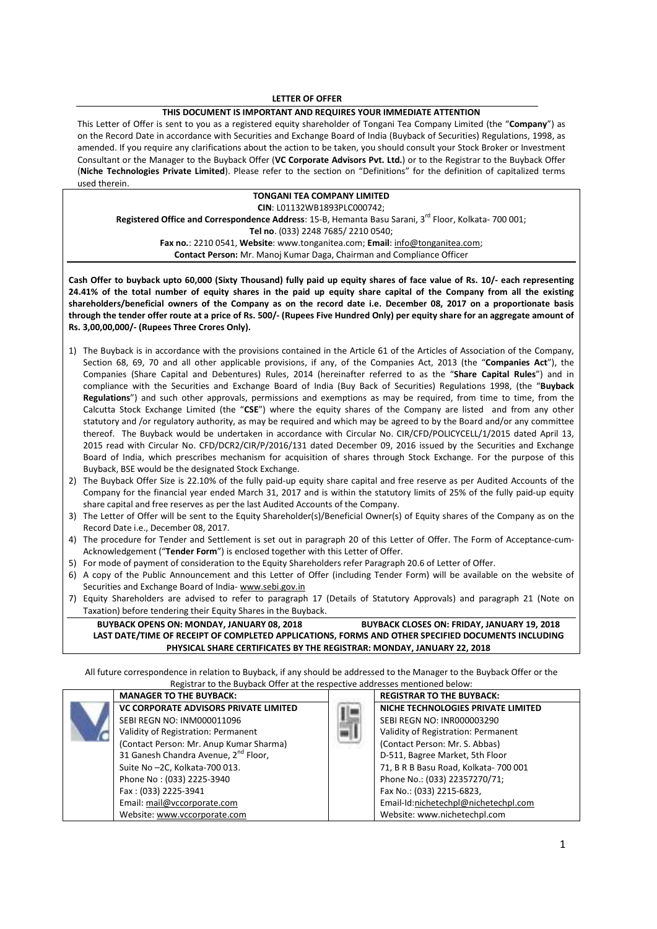### **LETTER OF OFFER**

#### **THIS DOCUMENT IS IMPORTANT AND REQUIRES YOUR IMMEDIATE ATTENTION**

This Letter of Offer is sent to you as a registered equity shareholder of Tongani Tea Company Limited (the "**Company**") as on the Record Date in accordance with Securities and Exchange Board of India (Buyback of Securities) Regulations, 1998, as amended. If you require any clarifications about the action to be taken, you should consult your Stock Broker or Investment Consultant or the Manager to the Buyback Offer (**VC Corporate Advisors Pvt. Ltd.**) or to the Registrar to the Buyback Offer (**Niche Technologies Private Limited**). Please refer to the section on "Definitions" for the definition of capitalized terms used therein.

# **TONGANI TEA COMPANY LIMITED CIN**: L01132WB1893PLC000742; Registered Office and Correspondence Address: 15-B, Hemanta Basu Sarani, 3<sup>rd</sup> Floor, Kolkata- 700 001;

**Tel no**. (033) 2248 7685/ 2210 0540; **Fax no.**: 2210 0541, **Website**: www.tonganitea.com; **Email**: info@tonganitea.com;

**Contact Person:** Mr. Manoj Kumar Daga, Chairman and Compliance Officer

**Cash Offer to buyback upto 60,000 (Sixty Thousand) fully paid up equity shares of face value of Rs. 10/- each representing 24.41% of the total number of equity shares in the paid up equity share capital of the Company from all the existing shareholders/beneficial owners of the Company as on the record date i.e. December 08, 2017 on a proportionate basis through the tender offer route at a price of Rs. 500/- (Rupees Five Hundred Only) per equity share for an aggregate amount of Rs. 3,00,00,000/- (Rupees Three Crores Only).** 

- 1) The Buyback is in accordance with the provisions contained in the Article 61 of the Articles of Association of the Company, Section 68, 69, 70 and all other applicable provisions, if any, of the Companies Act, 2013 (the "**Companies Act**"), the Companies (Share Capital and Debentures) Rules, 2014 (hereinafter referred to as the "**Share Capital Rules**") and in compliance with the Securities and Exchange Board of India (Buy Back of Securities) Regulations 1998, (the "**Buyback Regulations**") and such other approvals, permissions and exemptions as may be required, from time to time, from the Calcutta Stock Exchange Limited (the "**CSE**") where the equity shares of the Company are listed and from any other statutory and /or regulatory authority, as may be required and which may be agreed to by the Board and/or any committee thereof. The Buyback would be undertaken in accordance with Circular No. CIR/CFD/POLICYCELL/1/2015 dated April 13, 2015 read with Circular No. CFD/DCR2/CIR/P/2016/131 dated December 09, 2016 issued by the Securities and Exchange Board of India, which prescribes mechanism for acquisition of shares through Stock Exchange. For the purpose of this Buyback, BSE would be the designated Stock Exchange.
- 2) The Buyback Offer Size is 22.10% of the fully paid-up equity share capital and free reserve as per Audited Accounts of the Company for the financial year ended March 31, 2017 and is within the statutory limits of 25% of the fully paid-up equity share capital and free reserves as per the last Audited Accounts of the Company.
- 3) The Letter of Offer will be sent to the Equity Shareholder(s)/Beneficial Owner(s) of Equity shares of the Company as on the Record Date i.e., December 08, 2017.
- 4) The procedure for Tender and Settlement is set out in paragraph 20 of this Letter of Offer. The Form of Acceptance-cum-Acknowledgement ("**Tender Form**") is enclosed together with this Letter of Offer.
- 5) For mode of payment of consideration to the Equity Shareholders refer Paragraph 20.6 of Letter of Offer.
- 6) A copy of the Public Announcement and this Letter of Offer (including Tender Form) will be available on the website of Securities and Exchange Board of India- www.sebi.gov.in
- 7) Equity Shareholders are advised to refer to paragraph 17 (Details of Statutory Approvals) and paragraph 21 (Note on Taxation) before tendering their Equity Shares in the Buyback.

**BUYBACK OPENS ON: MONDAY, JANUARY 08, 2018 BUYBACK CLOSES ON: FRIDAY, JANUARY 19, 2018 LAST DATE/TIME OF RECEIPT OF COMPLETED APPLICATIONS, FORMS AND OTHER SPECIFIED DOCUMENTS INCLUDING PHYSICAL SHARE CERTIFICATES BY THE REGISTRAR: MONDAY, JANUARY 22, 2018**

All future correspondence in relation to Buyback, if any should be addressed to the Manager to the Buyback Offer or the Registrar to the Buyback Offer at the respective addresses mentioned below:

| <b>MANAGER TO THE BUYBACK:</b>                   | <b>REGISTRAR TO THE BUYBACK:</b>      |
|--------------------------------------------------|---------------------------------------|
| <b>VC CORPORATE ADVISORS PRIVATE LIMITED</b>     | NICHE TECHNOLOGIES PRIVATE LIMITED    |
| SEBI REGN NO: INM000011096                       | SEBI REGN NO: INR000003290            |
| Validity of Registration: Permanent              | Validity of Registration: Permanent   |
| (Contact Person: Mr. Anup Kumar Sharma)          | (Contact Person: Mr. S. Abbas)        |
| 31 Ganesh Chandra Avenue, 2 <sup>nd</sup> Floor, | D-511, Bagree Market, 5th Floor       |
| Suite No -2C, Kolkata-700 013.                   | 71, B R B Basu Road, Kolkata- 700 001 |
| Phone No: (033) 2225-3940                        | Phone No.: (033) 22357270/71;         |
| Fax: (033) 2225-3941                             | Fax No.: (033) 2215-6823,             |
| Email: mail@vccorporate.com                      | Email-Id:nichetechpl@nichetechpl.com  |
| Website: www.vccorporate.com                     | Website: www.nichetechpl.com          |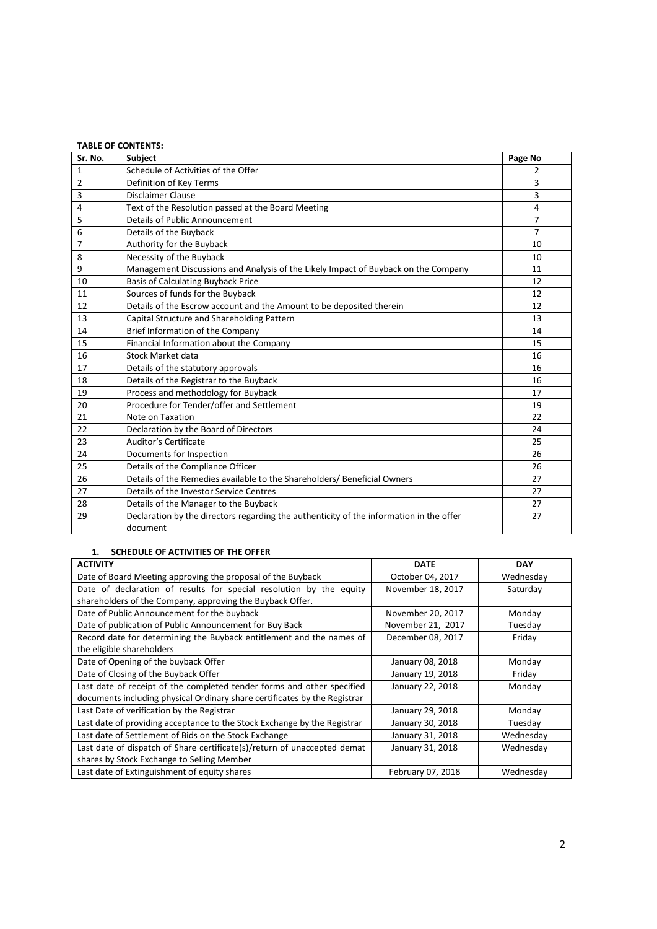|              | <b>TABLE OF CONTENTS:</b>                                                               |                |
|--------------|-----------------------------------------------------------------------------------------|----------------|
| Sr. No.      | <b>Subject</b>                                                                          | Page No        |
| $\mathbf{1}$ | Schedule of Activities of the Offer                                                     | 2              |
| 2            | Definition of Key Terms                                                                 | 3              |
| 3            | Disclaimer Clause                                                                       | 3              |
| 4            | Text of the Resolution passed at the Board Meeting                                      | 4              |
| 5            | Details of Public Announcement                                                          | $\overline{7}$ |
| 6            | Details of the Buyback                                                                  | $\overline{7}$ |
| 7            | Authority for the Buyback                                                               | 10             |
| 8            | Necessity of the Buyback                                                                | 10             |
| 9            | Management Discussions and Analysis of the Likely Impact of Buyback on the Company      | 11             |
| 10           | <b>Basis of Calculating Buyback Price</b>                                               | 12             |
| 11           | Sources of funds for the Buyback                                                        | 12             |
| 12           | Details of the Escrow account and the Amount to be deposited therein                    | 12             |
| 13           | Capital Structure and Shareholding Pattern                                              | 13             |
| 14           | Brief Information of the Company                                                        | 14             |
| 15           | Financial Information about the Company                                                 | 15             |
| 16           | <b>Stock Market data</b>                                                                | 16             |
| 17           | Details of the statutory approvals                                                      | 16             |
| 18           | Details of the Registrar to the Buyback                                                 | 16             |
| 19           | Process and methodology for Buyback                                                     | 17             |
| 20           | Procedure for Tender/offer and Settlement                                               | 19             |
| 21           | Note on Taxation                                                                        | 22             |
| 22           | Declaration by the Board of Directors                                                   | 24             |
| 23           | Auditor's Certificate                                                                   | 25             |
| 24           | Documents for Inspection                                                                | 26             |
| 25           | Details of the Compliance Officer                                                       | 26             |
| 26           | Details of the Remedies available to the Shareholders/ Beneficial Owners                | 27             |
| 27           | Details of the Investor Service Centres                                                 | 27             |
| 28           | Details of the Manager to the Buyback                                                   | 27             |
| 29           | Declaration by the directors regarding the authenticity of the information in the offer | 27             |
|              | document                                                                                |                |

## **1. SCHEDULE OF ACTIVITIES OF THE OFFER**

| <b>ACTIVITY</b>                                                           | <b>DATE</b>       | <b>DAY</b> |
|---------------------------------------------------------------------------|-------------------|------------|
| Date of Board Meeting approving the proposal of the Buyback               | October 04, 2017  | Wednesday  |
| Date of declaration of results for special resolution by the equity       | November 18, 2017 | Saturday   |
| shareholders of the Company, approving the Buyback Offer.                 |                   |            |
| Date of Public Announcement for the buyback                               | November 20, 2017 | Monday     |
| Date of publication of Public Announcement for Buy Back                   | November 21, 2017 | Tuesday    |
| Record date for determining the Buyback entitlement and the names of      | December 08, 2017 | Friday     |
| the eligible shareholders                                                 |                   |            |
| Date of Opening of the buyback Offer                                      | January 08, 2018  | Monday     |
| Date of Closing of the Buyback Offer                                      | January 19, 2018  | Friday     |
| Last date of receipt of the completed tender forms and other specified    | January 22, 2018  | Monday     |
| documents including physical Ordinary share certificates by the Registrar |                   |            |
| Last Date of verification by the Registrar                                | January 29, 2018  | Monday     |
| Last date of providing acceptance to the Stock Exchange by the Registrar  | January 30, 2018  | Tuesday    |
| Last date of Settlement of Bids on the Stock Exchange                     | January 31, 2018  | Wednesdav  |
| Last date of dispatch of Share certificate(s)/return of unaccepted demat  | January 31, 2018  | Wednesday  |
| shares by Stock Exchange to Selling Member                                |                   |            |
| Last date of Extinguishment of equity shares                              | February 07, 2018 | Wednesday  |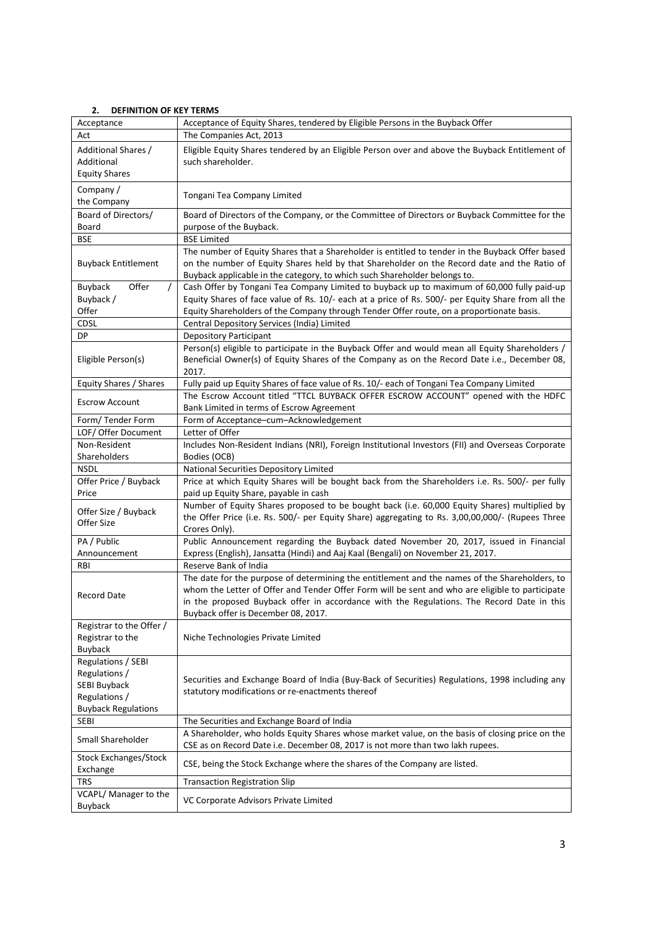# **2. DEFINITION OF KEY TERMS**

| Acceptance                                                                                                | Acceptance of Equity Shares, tendered by Eligible Persons in the Buyback Offer                                                                                                                                                                                                                                                       |  |  |  |
|-----------------------------------------------------------------------------------------------------------|--------------------------------------------------------------------------------------------------------------------------------------------------------------------------------------------------------------------------------------------------------------------------------------------------------------------------------------|--|--|--|
| Act                                                                                                       | The Companies Act, 2013                                                                                                                                                                                                                                                                                                              |  |  |  |
| Additional Shares /<br>Additional<br><b>Equity Shares</b>                                                 | Eligible Equity Shares tendered by an Eligible Person over and above the Buyback Entitlement of<br>such shareholder.                                                                                                                                                                                                                 |  |  |  |
| Company /<br>the Company                                                                                  | Tongani Tea Company Limited                                                                                                                                                                                                                                                                                                          |  |  |  |
| Board of Directors/                                                                                       | Board of Directors of the Company, or the Committee of Directors or Buyback Committee for the                                                                                                                                                                                                                                        |  |  |  |
| Board                                                                                                     | purpose of the Buyback.                                                                                                                                                                                                                                                                                                              |  |  |  |
| BSE                                                                                                       | <b>BSE Limited</b>                                                                                                                                                                                                                                                                                                                   |  |  |  |
| <b>Buyback Entitlement</b>                                                                                | The number of Equity Shares that a Shareholder is entitled to tender in the Buyback Offer based<br>on the number of Equity Shares held by that Shareholder on the Record date and the Ratio of<br>Buyback applicable in the category, to which such Shareholder belongs to.                                                          |  |  |  |
| Offer<br>Buyback                                                                                          | Cash Offer by Tongani Tea Company Limited to buyback up to maximum of 60,000 fully paid-up                                                                                                                                                                                                                                           |  |  |  |
| Buyback /                                                                                                 | Equity Shares of face value of Rs. 10/- each at a price of Rs. 500/- per Equity Share from all the                                                                                                                                                                                                                                   |  |  |  |
| Offer                                                                                                     | Equity Shareholders of the Company through Tender Offer route, on a proportionate basis.                                                                                                                                                                                                                                             |  |  |  |
| <b>CDSL</b>                                                                                               | Central Depository Services (India) Limited                                                                                                                                                                                                                                                                                          |  |  |  |
| DP                                                                                                        | <b>Depository Participant</b>                                                                                                                                                                                                                                                                                                        |  |  |  |
| Eligible Person(s)                                                                                        | Person(s) eligible to participate in the Buyback Offer and would mean all Equity Shareholders /<br>Beneficial Owner(s) of Equity Shares of the Company as on the Record Date i.e., December 08,<br>2017.                                                                                                                             |  |  |  |
| Equity Shares / Shares                                                                                    | Fully paid up Equity Shares of face value of Rs. 10/- each of Tongani Tea Company Limited                                                                                                                                                                                                                                            |  |  |  |
| <b>Escrow Account</b>                                                                                     | The Escrow Account titled "TTCL BUYBACK OFFER ESCROW ACCOUNT" opened with the HDFC<br>Bank Limited in terms of Escrow Agreement                                                                                                                                                                                                      |  |  |  |
| Form/Tender Form                                                                                          | Form of Acceptance-cum-Acknowledgement                                                                                                                                                                                                                                                                                               |  |  |  |
| LOF/ Offer Document                                                                                       | Letter of Offer                                                                                                                                                                                                                                                                                                                      |  |  |  |
| Non-Resident                                                                                              | Includes Non-Resident Indians (NRI), Foreign Institutional Investors (FII) and Overseas Corporate                                                                                                                                                                                                                                    |  |  |  |
| Shareholders                                                                                              | Bodies (OCB)                                                                                                                                                                                                                                                                                                                         |  |  |  |
| <b>NSDL</b>                                                                                               | National Securities Depository Limited                                                                                                                                                                                                                                                                                               |  |  |  |
| Offer Price / Buyback<br>Price                                                                            | Price at which Equity Shares will be bought back from the Shareholders i.e. Rs. 500/- per fully<br>paid up Equity Share, payable in cash                                                                                                                                                                                             |  |  |  |
| Offer Size / Buyback<br>Offer Size                                                                        | Number of Equity Shares proposed to be bought back (i.e. 60,000 Equity Shares) multiplied by<br>the Offer Price (i.e. Rs. 500/- per Equity Share) aggregating to Rs. 3,00,00,000/- (Rupees Three<br>Crores Only).                                                                                                                    |  |  |  |
| PA / Public                                                                                               | Public Announcement regarding the Buyback dated November 20, 2017, issued in Financial                                                                                                                                                                                                                                               |  |  |  |
| Announcement                                                                                              | Express (English), Jansatta (Hindi) and Aaj Kaal (Bengali) on November 21, 2017.                                                                                                                                                                                                                                                     |  |  |  |
| RBI                                                                                                       | Reserve Bank of India                                                                                                                                                                                                                                                                                                                |  |  |  |
| Record Date                                                                                               | The date for the purpose of determining the entitlement and the names of the Shareholders, to<br>whom the Letter of Offer and Tender Offer Form will be sent and who are eligible to participate<br>in the proposed Buyback offer in accordance with the Regulations. The Record Date in this<br>Buyback offer is December 08, 2017. |  |  |  |
| Registrar to the Offer /<br>Registrar to the<br>Buyback                                                   | Niche Technologies Private Limited                                                                                                                                                                                                                                                                                                   |  |  |  |
| Regulations / SEBI<br>Regulations /<br><b>SEBI Buyback</b><br>Regulations /<br><b>Buyback Regulations</b> | Securities and Exchange Board of India (Buy-Back of Securities) Regulations, 1998 including any<br>statutory modifications or re-enactments thereof                                                                                                                                                                                  |  |  |  |
| SEBI                                                                                                      | The Securities and Exchange Board of India                                                                                                                                                                                                                                                                                           |  |  |  |
| Small Shareholder                                                                                         | A Shareholder, who holds Equity Shares whose market value, on the basis of closing price on the<br>CSE as on Record Date i.e. December 08, 2017 is not more than two lakh rupees.                                                                                                                                                    |  |  |  |
| <b>Stock Exchanges/Stock</b><br>Exchange                                                                  | CSE, being the Stock Exchange where the shares of the Company are listed.                                                                                                                                                                                                                                                            |  |  |  |
| <b>TRS</b>                                                                                                | <b>Transaction Registration Slip</b>                                                                                                                                                                                                                                                                                                 |  |  |  |
| VCAPL/ Manager to the<br>Buyback                                                                          | VC Corporate Advisors Private Limited                                                                                                                                                                                                                                                                                                |  |  |  |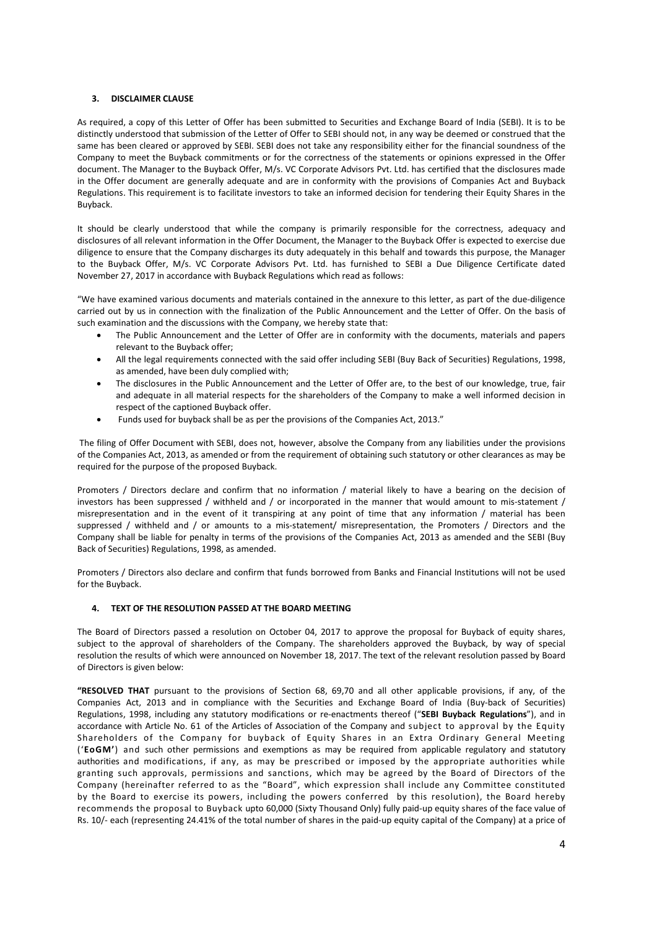## **3. DISCLAIMER CLAUSE**

As required, a copy of this Letter of Offer has been submitted to Securities and Exchange Board of India (SEBI). It is to be distinctly understood that submission of the Letter of Offer to SEBI should not, in any way be deemed or construed that the same has been cleared or approved by SEBI. SEBI does not take any responsibility either for the financial soundness of the Company to meet the Buyback commitments or for the correctness of the statements or opinions expressed in the Offer document. The Manager to the Buyback Offer, M/s. VC Corporate Advisors Pvt. Ltd. has certified that the disclosures made in the Offer document are generally adequate and are in conformity with the provisions of Companies Act and Buyback Regulations. This requirement is to facilitate investors to take an informed decision for tendering their Equity Shares in the Buyback.

It should be clearly understood that while the company is primarily responsible for the correctness, adequacy and disclosures of all relevant information in the Offer Document, the Manager to the Buyback Offer is expected to exercise due diligence to ensure that the Company discharges its duty adequately in this behalf and towards this purpose, the Manager to the Buyback Offer, M/s. VC Corporate Advisors Pvt. Ltd. has furnished to SEBI a Due Diligence Certificate dated November 27, 2017 in accordance with Buyback Regulations which read as follows:

"We have examined various documents and materials contained in the annexure to this letter, as part of the due-diligence carried out by us in connection with the finalization of the Public Announcement and the Letter of Offer. On the basis of such examination and the discussions with the Company, we hereby state that:

- The Public Announcement and the Letter of Offer are in conformity with the documents, materials and papers relevant to the Buyback offer;
- All the legal requirements connected with the said offer including SEBI (Buy Back of Securities) Regulations, 1998, as amended, have been duly complied with;
- The disclosures in the Public Announcement and the Letter of Offer are, to the best of our knowledge, true, fair and adequate in all material respects for the shareholders of the Company to make a well informed decision in respect of the captioned Buyback offer.
- Funds used for buyback shall be as per the provisions of the Companies Act, 2013."

 The filing of Offer Document with SEBI, does not, however, absolve the Company from any liabilities under the provisions of the Companies Act, 2013, as amended or from the requirement of obtaining such statutory or other clearances as may be required for the purpose of the proposed Buyback.

Promoters / Directors declare and confirm that no information / material likely to have a bearing on the decision of investors has been suppressed / withheld and / or incorporated in the manner that would amount to mis-statement / misrepresentation and in the event of it transpiring at any point of time that any information / material has been suppressed / withheld and / or amounts to a mis-statement/ misrepresentation, the Promoters / Directors and the Company shall be liable for penalty in terms of the provisions of the Companies Act, 2013 as amended and the SEBI (Buy Back of Securities) Regulations, 1998, as amended.

Promoters / Directors also declare and confirm that funds borrowed from Banks and Financial Institutions will not be used for the Buyback.

# **4. TEXT OF THE RESOLUTION PASSED AT THE BOARD MEETING**

The Board of Directors passed a resolution on October 04, 2017 to approve the proposal for Buyback of equity shares, subject to the approval of shareholders of the Company. The shareholders approved the Buyback, by way of special resolution the results of which were announced on November 18, 2017. The text of the relevant resolution passed by Board of Directors is given below:

**"RESOLVED THAT** pursuant to the provisions of Section 68, 69,70 and all other applicable provisions, if any, of the Companies Act, 2013 and in compliance with the Securities and Exchange Board of India (Buy-back of Securities) Regulations, 1998, including any statutory modifications or re-enactments thereof ("**SEBI Buyback Regulations**"), and in accordance with Article No. 61 of the Articles of Association of the Company and subject to approval by the Equity Shareholders of the Company for buyback of Equity Shares in an Extra Ordinary General Meeting ('**EoGM'**) and such other permissions and exemptions as may be required from applicable regulatory and statutory authorities and modifications, if any, as may be prescribed or imposed by the appropriate authorities while granting such approvals, permissions and sanctions, which may be agreed by the Board of Directors of the Company (hereinafter referred to as the "Board", which expression shall include any Committee constituted by the Board to exercise its powers, including the powers conferred by this resolution), the Board hereby recommends the proposal to Buyback upto 60,000 (Sixty Thousand Only) fully paid-up equity shares of the face value of Rs. 10/- each (representing 24.41% of the total number of shares in the paid-up equity capital of the Company) at a price of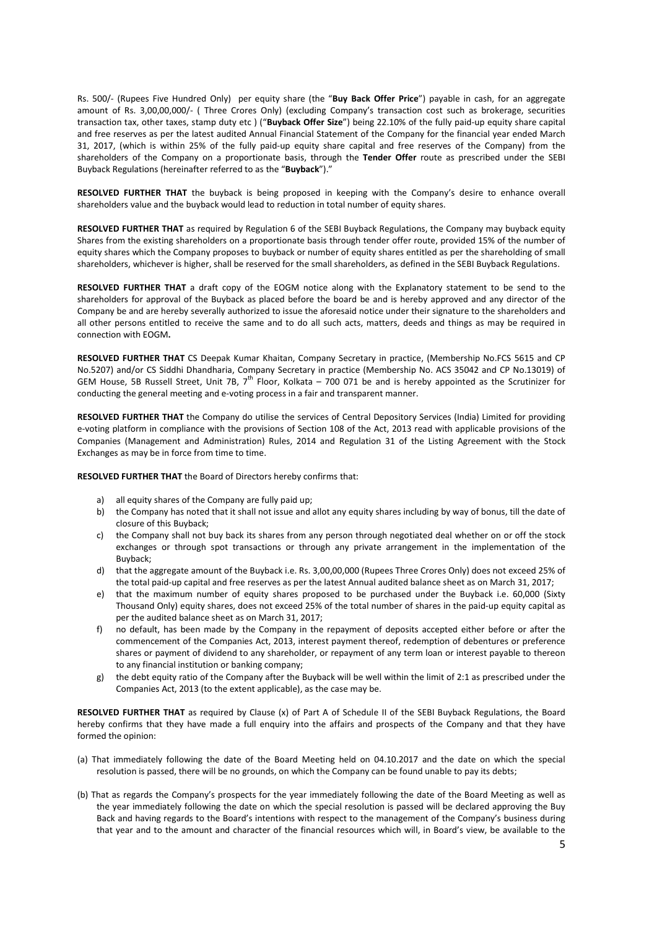Rs. 500/- (Rupees Five Hundred Only) per equity share (the "**Buy Back Offer Price**") payable in cash, for an aggregate amount of Rs. 3,00,00,000/- ( Three Crores Only) (excluding Company's transaction cost such as brokerage, securities transaction tax, other taxes, stamp duty etc ) ("**Buyback Offer Size**") being 22.10% of the fully paid-up equity share capital and free reserves as per the latest audited Annual Financial Statement of the Company for the financial year ended March 31, 2017, (which is within 25% of the fully paid-up equity share capital and free reserves of the Company) from the shareholders of the Company on a proportionate basis, through the **Tender Offer** route as prescribed under the SEBI Buyback Regulations (hereinafter referred to as the "**Buyback**")."

**RESOLVED FURTHER THAT** the buyback is being proposed in keeping with the Company's desire to enhance overall shareholders value and the buyback would lead to reduction in total number of equity shares.

**RESOLVED FURTHER THAT** as required by Regulation 6 of the SEBI Buyback Regulations, the Company may buyback equity Shares from the existing shareholders on a proportionate basis through tender offer route, provided 15% of the number of equity shares which the Company proposes to buyback or number of equity shares entitled as per the shareholding of small shareholders, whichever is higher, shall be reserved for the small shareholders, as defined in the SEBI Buyback Regulations.

**RESOLVED FURTHER THAT** a draft copy of the EOGM notice along with the Explanatory statement to be send to the shareholders for approval of the Buyback as placed before the board be and is hereby approved and any director of the Company be and are hereby severally authorized to issue the aforesaid notice under their signature to the shareholders and all other persons entitled to receive the same and to do all such acts, matters, deeds and things as may be required in connection with EOGM**.** 

**RESOLVED FURTHER THAT** CS Deepak Kumar Khaitan, Company Secretary in practice, (Membership No.FCS 5615 and CP No.5207) and/or CS Siddhi Dhandharia, Company Secretary in practice (Membership No. ACS 35042 and CP No.13019) of GEM House, 5B Russell Street, Unit 7B,  $7<sup>th</sup>$  Floor, Kolkata – 700 071 be and is hereby appointed as the Scrutinizer for conducting the general meeting and e-voting process in a fair and transparent manner.

**RESOLVED FURTHER THAT** the Company do utilise the services of Central Depository Services (India) Limited for providing e-voting platform in compliance with the provisions of Section 108 of the Act, 2013 read with applicable provisions of the Companies (Management and Administration) Rules, 2014 and Regulation 31 of the Listing Agreement with the Stock Exchanges as may be in force from time to time.

**RESOLVED FURTHER THAT** the Board of Directors hereby confirms that:

- a) all equity shares of the Company are fully paid up;
- b) the Company has noted that it shall not issue and allot any equity shares including by way of bonus, till the date of closure of this Buyback;
- c) the Company shall not buy back its shares from any person through negotiated deal whether on or off the stock exchanges or through spot transactions or through any private arrangement in the implementation of the Buyback;
- d) that the aggregate amount of the Buyback i.e. Rs. 3,00,00,000 (Rupees Three Crores Only) does not exceed 25% of the total paid-up capital and free reserves as per the latest Annual audited balance sheet as on March 31, 2017;
- e) that the maximum number of equity shares proposed to be purchased under the Buyback i.e. 60,000 (Sixty Thousand Only) equity shares, does not exceed 25% of the total number of shares in the paid-up equity capital as per the audited balance sheet as on March 31, 2017;
- f) no default, has been made by the Company in the repayment of deposits accepted either before or after the commencement of the Companies Act, 2013, interest payment thereof, redemption of debentures or preference shares or payment of dividend to any shareholder, or repayment of any term loan or interest payable to thereon to any financial institution or banking company;
- g) the debt equity ratio of the Company after the Buyback will be well within the limit of 2:1 as prescribed under the Companies Act, 2013 (to the extent applicable), as the case may be.

**RESOLVED FURTHER THAT** as required by Clause (x) of Part A of Schedule II of the SEBI Buyback Regulations, the Board hereby confirms that they have made a full enquiry into the affairs and prospects of the Company and that they have formed the opinion:

- (a) That immediately following the date of the Board Meeting held on 04.10.2017 and the date on which the special resolution is passed, there will be no grounds, on which the Company can be found unable to pay its debts;
- (b) That as regards the Company's prospects for the year immediately following the date of the Board Meeting as well as the year immediately following the date on which the special resolution is passed will be declared approving the Buy Back and having regards to the Board's intentions with respect to the management of the Company's business during that year and to the amount and character of the financial resources which will, in Board's view, be available to the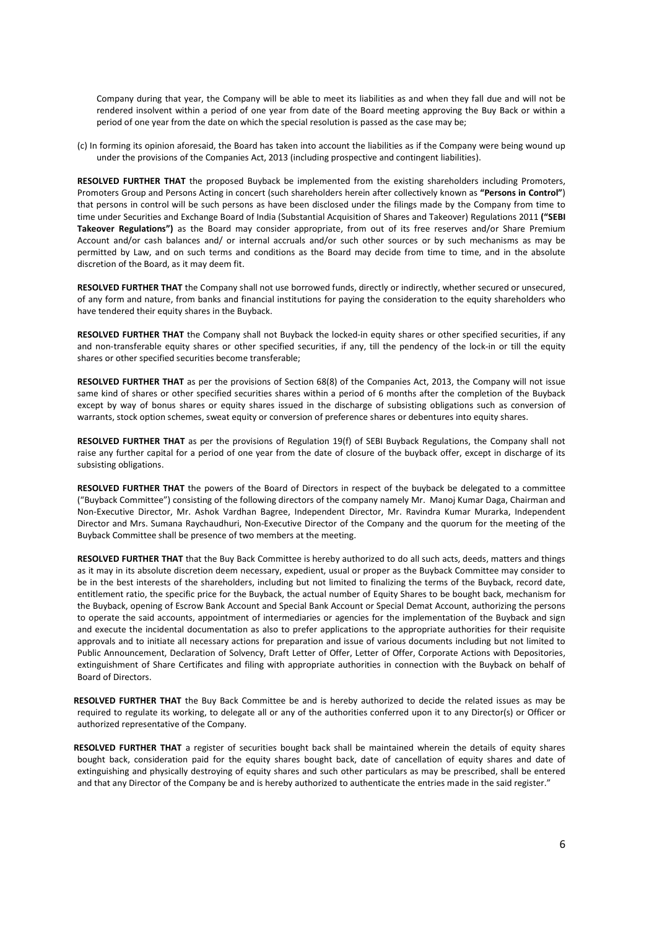Company during that year, the Company will be able to meet its liabilities as and when they fall due and will not be rendered insolvent within a period of one year from date of the Board meeting approving the Buy Back or within a period of one year from the date on which the special resolution is passed as the case may be;

(c) In forming its opinion aforesaid, the Board has taken into account the liabilities as if the Company were being wound up under the provisions of the Companies Act, 2013 (including prospective and contingent liabilities).

**RESOLVED FURTHER THAT** the proposed Buyback be implemented from the existing shareholders including Promoters, Promoters Group and Persons Acting in concert (such shareholders herein after collectively known as **"Persons in Control"**) that persons in control will be such persons as have been disclosed under the filings made by the Company from time to time under Securities and Exchange Board of India (Substantial Acquisition of Shares and Takeover) Regulations 2011 **("SEBI Takeover Regulations")** as the Board may consider appropriate, from out of its free reserves and/or Share Premium Account and/or cash balances and/ or internal accruals and/or such other sources or by such mechanisms as may be permitted by Law, and on such terms and conditions as the Board may decide from time to time, and in the absolute discretion of the Board, as it may deem fit.

**RESOLVED FURTHER THAT** the Company shall not use borrowed funds, directly or indirectly, whether secured or unsecured, of any form and nature, from banks and financial institutions for paying the consideration to the equity shareholders who have tendered their equity shares in the Buyback.

**RESOLVED FURTHER THAT** the Company shall not Buyback the locked-in equity shares or other specified securities, if any and non-transferable equity shares or other specified securities, if any, till the pendency of the lock-in or till the equity shares or other specified securities become transferable;

**RESOLVED FURTHER THAT** as per the provisions of Section 68(8) of the Companies Act, 2013, the Company will not issue same kind of shares or other specified securities shares within a period of 6 months after the completion of the Buyback except by way of bonus shares or equity shares issued in the discharge of subsisting obligations such as conversion of warrants, stock option schemes, sweat equity or conversion of preference shares or debentures into equity shares.

**RESOLVED FURTHER THAT** as per the provisions of Regulation 19(f) of SEBI Buyback Regulations, the Company shall not raise any further capital for a period of one year from the date of closure of the buyback offer, except in discharge of its subsisting obligations.

**RESOLVED FURTHER THAT** the powers of the Board of Directors in respect of the buyback be delegated to a committee ("Buyback Committee") consisting of the following directors of the company namely Mr. Manoj Kumar Daga, Chairman and Non-Executive Director, Mr. Ashok Vardhan Bagree, Independent Director, Mr. Ravindra Kumar Murarka, Independent Director and Mrs. Sumana Raychaudhuri, Non-Executive Director of the Company and the quorum for the meeting of the Buyback Committee shall be presence of two members at the meeting.

**RESOLVED FURTHER THAT** that the Buy Back Committee is hereby authorized to do all such acts, deeds, matters and things as it may in its absolute discretion deem necessary, expedient, usual or proper as the Buyback Committee may consider to be in the best interests of the shareholders, including but not limited to finalizing the terms of the Buyback, record date, entitlement ratio, the specific price for the Buyback, the actual number of Equity Shares to be bought back, mechanism for the Buyback, opening of Escrow Bank Account and Special Bank Account or Special Demat Account, authorizing the persons to operate the said accounts, appointment of intermediaries or agencies for the implementation of the Buyback and sign and execute the incidental documentation as also to prefer applications to the appropriate authorities for their requisite approvals and to initiate all necessary actions for preparation and issue of various documents including but not limited to Public Announcement, Declaration of Solvency, Draft Letter of Offer, Letter of Offer, Corporate Actions with Depositories, extinguishment of Share Certificates and filing with appropriate authorities in connection with the Buyback on behalf of Board of Directors.

 **RESOLVED FURTHER THAT** the Buy Back Committee be and is hereby authorized to decide the related issues as may be required to regulate its working, to delegate all or any of the authorities conferred upon it to any Director(s) or Officer or authorized representative of the Company.

 **RESOLVED FURTHER THAT** a register of securities bought back shall be maintained wherein the details of equity shares bought back, consideration paid for the equity shares bought back, date of cancellation of equity shares and date of extinguishing and physically destroying of equity shares and such other particulars as may be prescribed, shall be entered and that any Director of the Company be and is hereby authorized to authenticate the entries made in the said register."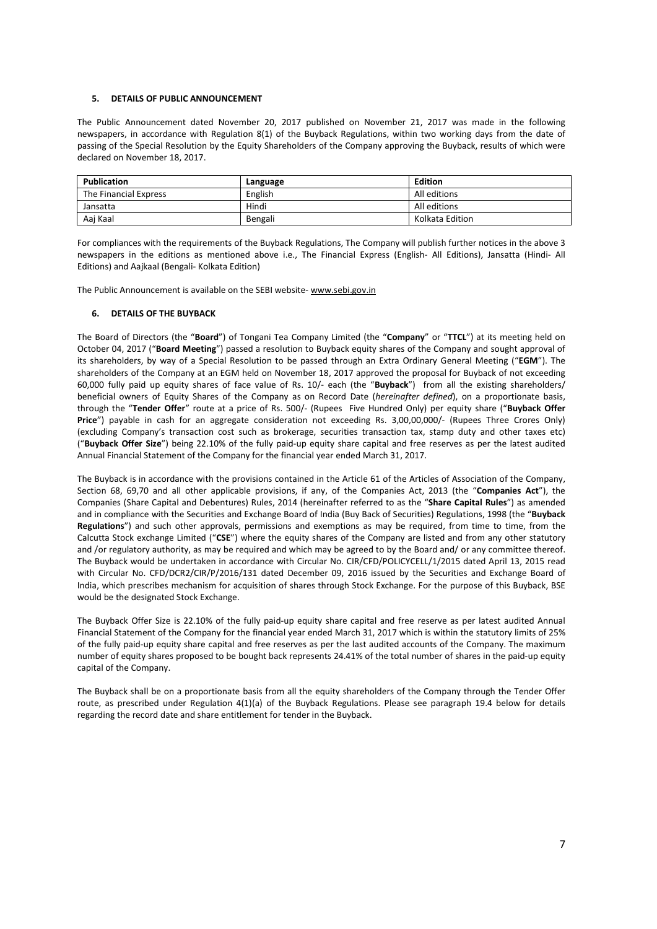### **5. DETAILS OF PUBLIC ANNOUNCEMENT**

The Public Announcement dated November 20, 2017 published on November 21, 2017 was made in the following newspapers, in accordance with Regulation 8(1) of the Buyback Regulations, within two working days from the date of passing of the Special Resolution by the Equity Shareholders of the Company approving the Buyback, results of which were declared on November 18, 2017.

| Publication           | Language | Edition         |
|-----------------------|----------|-----------------|
| The Financial Express | English  | All editions    |
| Jansatta              | Hindi    | All editions    |
| Aai Kaal              | Bengali  | Kolkata Edition |

For compliances with the requirements of the Buyback Regulations, The Company will publish further notices in the above 3 newspapers in the editions as mentioned above i.e., The Financial Express (English- All Editions), Jansatta (Hindi- All Editions) and Aajkaal (Bengali- Kolkata Edition)

The Public Announcement is available on the SEBI website- www.sebi.gov.in

#### **6. DETAILS OF THE BUYBACK**

The Board of Directors (the "**Board**") of Tongani Tea Company Limited (the "**Company**" or "**TTCL**") at its meeting held on October 04, 2017 ("**Board Meeting**") passed a resolution to Buyback equity shares of the Company and sought approval of its shareholders, by way of a Special Resolution to be passed through an Extra Ordinary General Meeting ("**EGM**"). The shareholders of the Company at an EGM held on November 18, 2017 approved the proposal for Buyback of not exceeding 60,000 fully paid up equity shares of face value of Rs. 10/- each (the "**Buyback**") from all the existing shareholders/ beneficial owners of Equity Shares of the Company as on Record Date (*hereinafter defined*), on a proportionate basis, through the "**Tender Offer**" route at a price of Rs. 500/- (Rupees Five Hundred Only) per equity share ("**Buyback Offer Price**") payable in cash for an aggregate consideration not exceeding Rs. 3,00,00,000/- (Rupees Three Crores Only) (excluding Company's transaction cost such as brokerage, securities transaction tax, stamp duty and other taxes etc) ("**Buyback Offer Size**") being 22.10% of the fully paid-up equity share capital and free reserves as per the latest audited Annual Financial Statement of the Company for the financial year ended March 31, 2017.

The Buyback is in accordance with the provisions contained in the Article 61 of the Articles of Association of the Company, Section 68, 69,70 and all other applicable provisions, if any, of the Companies Act, 2013 (the "**Companies Act**"), the Companies (Share Capital and Debentures) Rules, 2014 (hereinafter referred to as the "**Share Capital Rules**") as amended and in compliance with the Securities and Exchange Board of India (Buy Back of Securities) Regulations, 1998 (the "**Buyback Regulations**") and such other approvals, permissions and exemptions as may be required, from time to time, from the Calcutta Stock exchange Limited ("**CSE**") where the equity shares of the Company are listed and from any other statutory and /or regulatory authority, as may be required and which may be agreed to by the Board and/ or any committee thereof. The Buyback would be undertaken in accordance with Circular No. CIR/CFD/POLICYCELL/1/2015 dated April 13, 2015 read with Circular No. CFD/DCR2/CIR/P/2016/131 dated December 09, 2016 issued by the Securities and Exchange Board of India, which prescribes mechanism for acquisition of shares through Stock Exchange. For the purpose of this Buyback, BSE would be the designated Stock Exchange.

The Buyback Offer Size is 22.10% of the fully paid-up equity share capital and free reserve as per latest audited Annual Financial Statement of the Company for the financial year ended March 31, 2017 which is within the statutory limits of 25% of the fully paid-up equity share capital and free reserves as per the last audited accounts of the Company. The maximum number of equity shares proposed to be bought back represents 24.41% of the total number of shares in the paid-up equity capital of the Company.

The Buyback shall be on a proportionate basis from all the equity shareholders of the Company through the Tender Offer route, as prescribed under Regulation 4(1)(a) of the Buyback Regulations. Please see paragraph 19.4 below for details regarding the record date and share entitlement for tender in the Buyback.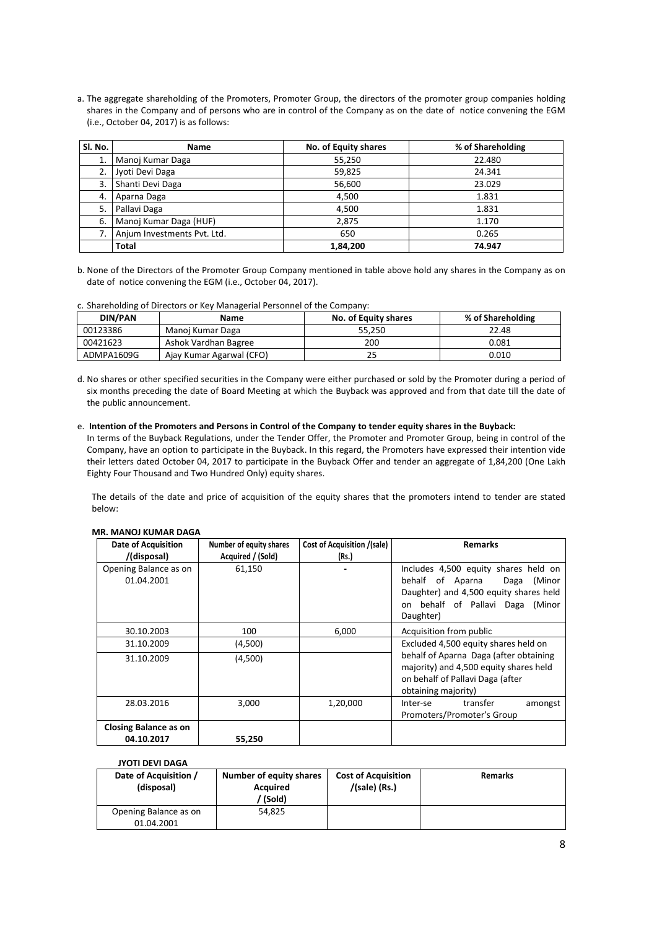a. The aggregate shareholding of the Promoters, Promoter Group, the directors of the promoter group companies holding shares in the Company and of persons who are in control of the Company as on the date of notice convening the EGM (i.e., October 04, 2017) is as follows:

| SI. No. | <b>Name</b>                 | No. of Equity shares | % of Shareholding |
|---------|-----------------------------|----------------------|-------------------|
| 1.      | Manoj Kumar Daga            | 55,250               | 22.480            |
|         | Jyoti Devi Daga             | 59,825               | 24.341            |
| 3.      | Shanti Devi Daga            | 56,600               | 23.029            |
| 4.      | Aparna Daga                 | 4,500                | 1.831             |
| 5.      | Pallavi Daga                | 4,500                | 1.831             |
| 6.      | Manoj Kumar Daga (HUF)      | 2,875                | 1.170             |
|         | Anjum Investments Pvt. Ltd. | 650                  | 0.265             |
|         | <b>Total</b>                | 1,84,200             | 74.947            |

- b. None of the Directors of the Promoter Group Company mentioned in table above hold any shares in the Company as on date of notice convening the EGM (i.e., October 04, 2017).
- c. Shareholding of Directors or Key Managerial Personnel of the Company:

| DIN/PAN    | Name                     | No. of Equity shares | % of Shareholding |
|------------|--------------------------|----------------------|-------------------|
| 00123386   | Manoi Kumar Daga         | 55.250               | 22.48             |
| 00421623   | Ashok Vardhan Bagree     | 200                  | 0.081             |
| ADMPA1609G | Ajay Kumar Agarwal (CFO) |                      | 0.010             |

d. No shares or other specified securities in the Company were either purchased or sold by the Promoter during a period of six months preceding the date of Board Meeting at which the Buyback was approved and from that date till the date of the public announcement.

### e. **Intention of the Promoters and Persons in Control of the Company to tender equity shares in the Buyback:**

In terms of the Buyback Regulations, under the Tender Offer, the Promoter and Promoter Group, being in control of the Company, have an option to participate in the Buyback. In this regard, the Promoters have expressed their intention vide their letters dated October 04, 2017 to participate in the Buyback Offer and tender an aggregate of 1,84,200 (One Lakh Eighty Four Thousand and Two Hundred Only) equity shares.

The details of the date and price of acquisition of the equity shares that the promoters intend to tender are stated below:

| <b>Date of Acquisition</b><br>/(disposal) | Number of equity shares<br>Acquired / (Sold) | <b>Cost of Acquisition /(sale)</b><br>(Rs.) | <b>Remarks</b>                                                                                                                                                        |
|-------------------------------------------|----------------------------------------------|---------------------------------------------|-----------------------------------------------------------------------------------------------------------------------------------------------------------------------|
| Opening Balance as on<br>01.04.2001       | 61,150                                       |                                             | Includes 4,500 equity shares held on<br>behalf of Aparna<br>Daga<br>(Minor<br>Daughter) and 4,500 equity shares held<br>on behalf of Pallavi Daga (Minor<br>Daughter) |
| 30.10.2003                                | 100                                          | 6,000                                       | Acquisition from public                                                                                                                                               |
| 31.10.2009                                | (4,500)                                      |                                             | Excluded 4,500 equity shares held on                                                                                                                                  |
| 31.10.2009                                | (4,500)                                      |                                             | behalf of Aparna Daga (after obtaining<br>majority) and 4,500 equity shares held<br>on behalf of Pallavi Daga (after<br>obtaining majority)                           |
| 28.03.2016                                | 3,000                                        | 1,20,000                                    | transfer<br>Inter-se<br>amongst<br>Promoters/Promoter's Group                                                                                                         |
| <b>Closing Balance as on</b>              |                                              |                                             |                                                                                                                                                                       |
| 04.10.2017                                | 55,250                                       |                                             |                                                                                                                                                                       |

#### **MR. MANOJ KUMAR DAGA**

### **JYOTI DEVI DAGA**

| Date of Acquisition /<br>(disposal) | Number of equity shares<br>Acquired<br>/ (Sold) | <b>Cost of Acquisition</b><br>/(sale) (Rs.) | <b>Remarks</b> |
|-------------------------------------|-------------------------------------------------|---------------------------------------------|----------------|
| Opening Balance as on<br>01.04.2001 | 54.825                                          |                                             |                |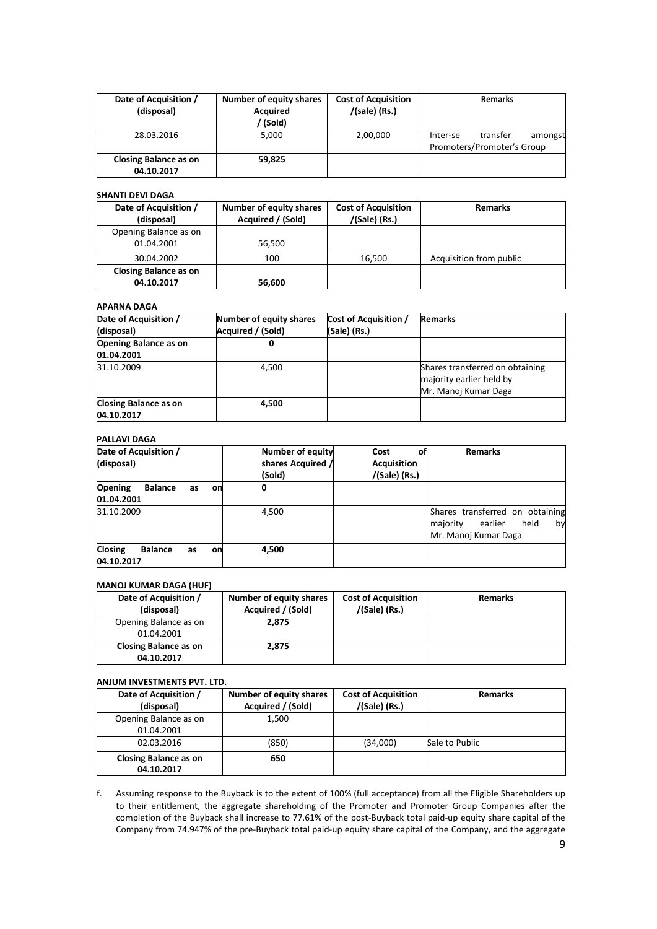| Date of Acquisition /<br>(disposal)        | <b>Number of equity shares</b><br>Acquired<br>(Sold) | <b>Cost of Acquisition</b><br>/(sale) (Rs.) | <b>Remarks</b>                                                |
|--------------------------------------------|------------------------------------------------------|---------------------------------------------|---------------------------------------------------------------|
| 28.03.2016                                 | 5,000                                                | 2,00,000                                    | transfer<br>amongst<br>Inter-se<br>Promoters/Promoter's Group |
| <b>Closing Balance as on</b><br>04.10.2017 | 59,825                                               |                                             |                                                               |

### **SHANTI DEVI DAGA**

| Date of Acquisition /<br>(disposal) | <b>Number of equity shares</b><br>Acquired / (Sold) | <b>Cost of Acquisition</b><br>/(Sale) (Rs.) | <b>Remarks</b>          |
|-------------------------------------|-----------------------------------------------------|---------------------------------------------|-------------------------|
| Opening Balance as on               |                                                     |                                             |                         |
| 01.04.2001                          | 56,500                                              |                                             |                         |
| 30.04.2002                          | 100                                                 | 16,500                                      | Acquisition from public |
| <b>Closing Balance as on</b>        |                                                     |                                             |                         |
| 04.10.2017                          | 56,600                                              |                                             |                         |

## **APARNA DAGA**

| Date of Acquisition /<br>(disposal)        | Number of equity shares<br>Acquired / (Sold) | <b>Cost of Acquisition /</b><br>(Sale) (Rs.) | <b>Remarks</b>                                                                      |
|--------------------------------------------|----------------------------------------------|----------------------------------------------|-------------------------------------------------------------------------------------|
| <b>Opening Balance as on</b><br>01.04.2001 | 0                                            |                                              |                                                                                     |
| 31.10.2009                                 | 4,500                                        |                                              | Shares transferred on obtaining<br>majority earlier held by<br>Mr. Manoj Kumar Daga |
| <b>Closing Balance as on</b><br>04.10.2017 | 4,500                                        |                                              |                                                                                     |

## **PALLAVI DAGA**

| Date of Acquisition /<br>(disposal)                        | <b>Number of equity</b><br>shares Acquired /<br>(Sold) | Cost<br>οt<br><b>Acquisition</b><br>$/(Sale)$ (Rs.) | <b>Remarks</b>                                                                               |
|------------------------------------------------------------|--------------------------------------------------------|-----------------------------------------------------|----------------------------------------------------------------------------------------------|
| <b>Opening</b><br><b>Balance</b><br>as<br>on<br>01.04.2001 | 0                                                      |                                                     |                                                                                              |
| 31.10.2009                                                 | 4,500                                                  |                                                     | Shares transferred on obtaining<br>earlier<br>held<br>majority<br>by<br>Mr. Manoj Kumar Daga |
| <b>Closing</b><br><b>Balance</b><br>as<br>on<br>04.10.2017 | 4,500                                                  |                                                     |                                                                                              |

# **MANOJ KUMAR DAGA (HUF)**

| Date of Acquisition /        | Number of equity shares | <b>Cost of Acquisition</b> | <b>Remarks</b> |
|------------------------------|-------------------------|----------------------------|----------------|
| (disposal)                   | Acquired / (Sold)       | $/(Sale)$ (Rs.)            |                |
| Opening Balance as on        | 2.875                   |                            |                |
| 01.04.2001                   |                         |                            |                |
| <b>Closing Balance as on</b> | 2.875                   |                            |                |
| 04.10.2017                   |                         |                            |                |

## **ANJUM INVESTMENTS PVT. LTD.**

| Date of Acquisition /<br>(disposal)        | <b>Number of equity shares</b><br>Acquired / (Sold) | <b>Cost of Acquisition</b><br>/(Sale) (Rs.) | <b>Remarks</b> |
|--------------------------------------------|-----------------------------------------------------|---------------------------------------------|----------------|
| Opening Balance as on                      | 1.500                                               |                                             |                |
| 01.04.2001                                 |                                                     |                                             |                |
| 02.03.2016                                 | (850)                                               | (34,000)                                    | Sale to Public |
| <b>Closing Balance as on</b><br>04.10.2017 | 650                                                 |                                             |                |

f. Assuming response to the Buyback is to the extent of 100% (full acceptance) from all the Eligible Shareholders up to their entitlement, the aggregate shareholding of the Promoter and Promoter Group Companies after the completion of the Buyback shall increase to 77.61% of the post-Buyback total paid-up equity share capital of the Company from 74.947% of the pre-Buyback total paid-up equity share capital of the Company, and the aggregate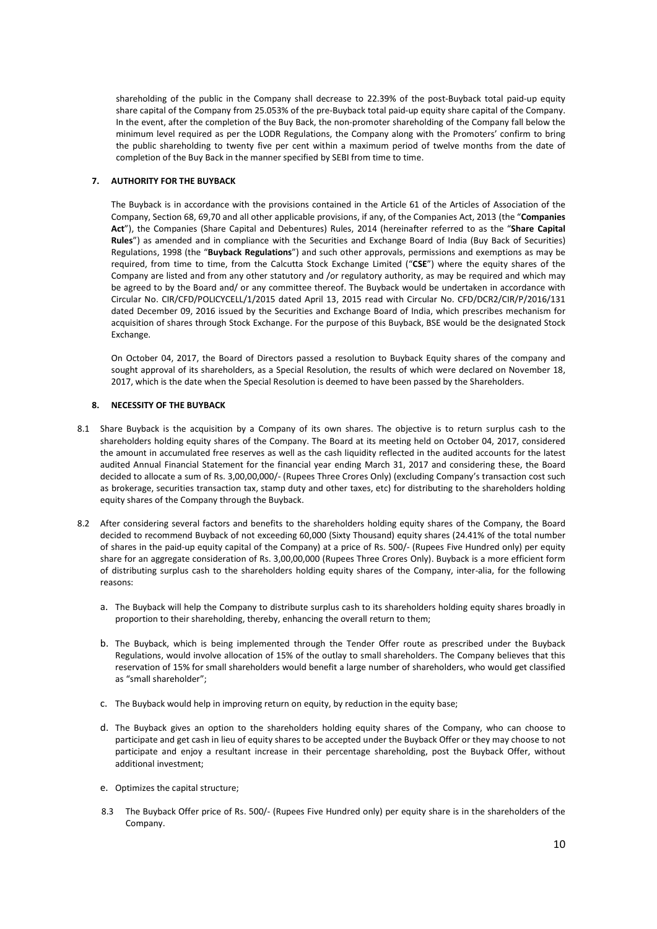shareholding of the public in the Company shall decrease to 22.39% of the post-Buyback total paid-up equity share capital of the Company from 25.053% of the pre-Buyback total paid-up equity share capital of the Company. In the event, after the completion of the Buy Back, the non-promoter shareholding of the Company fall below the minimum level required as per the LODR Regulations, the Company along with the Promoters' confirm to bring the public shareholding to twenty five per cent within a maximum period of twelve months from the date of completion of the Buy Back in the manner specified by SEBI from time to time.

## **7. AUTHORITY FOR THE BUYBACK**

The Buyback is in accordance with the provisions contained in the Article 61 of the Articles of Association of the Company, Section 68, 69,70 and all other applicable provisions, if any, of the Companies Act, 2013 (the "**Companies Act**"), the Companies (Share Capital and Debentures) Rules, 2014 (hereinafter referred to as the "**Share Capital Rules**") as amended and in compliance with the Securities and Exchange Board of India (Buy Back of Securities) Regulations, 1998 (the "**Buyback Regulations**") and such other approvals, permissions and exemptions as may be required, from time to time, from the Calcutta Stock Exchange Limited ("**CSE**") where the equity shares of the Company are listed and from any other statutory and /or regulatory authority, as may be required and which may be agreed to by the Board and/ or any committee thereof. The Buyback would be undertaken in accordance with Circular No. CIR/CFD/POLICYCELL/1/2015 dated April 13, 2015 read with Circular No. CFD/DCR2/CIR/P/2016/131 dated December 09, 2016 issued by the Securities and Exchange Board of India, which prescribes mechanism for acquisition of shares through Stock Exchange. For the purpose of this Buyback, BSE would be the designated Stock Exchange.

On October 04, 2017, the Board of Directors passed a resolution to Buyback Equity shares of the company and sought approval of its shareholders, as a Special Resolution, the results of which were declared on November 18, 2017, which is the date when the Special Resolution is deemed to have been passed by the Shareholders.

## **8. NECESSITY OF THE BUYBACK**

- 8.1 Share Buyback is the acquisition by a Company of its own shares. The objective is to return surplus cash to the shareholders holding equity shares of the Company. The Board at its meeting held on October 04, 2017, considered the amount in accumulated free reserves as well as the cash liquidity reflected in the audited accounts for the latest audited Annual Financial Statement for the financial year ending March 31, 2017 and considering these, the Board decided to allocate a sum of Rs. 3,00,00,000/- (Rupees Three Crores Only) (excluding Company's transaction cost such as brokerage, securities transaction tax, stamp duty and other taxes, etc) for distributing to the shareholders holding equity shares of the Company through the Buyback.
- 8.2 After considering several factors and benefits to the shareholders holding equity shares of the Company, the Board decided to recommend Buyback of not exceeding 60,000 (Sixty Thousand) equity shares (24.41% of the total number of shares in the paid-up equity capital of the Company) at a price of Rs. 500/- (Rupees Five Hundred only) per equity share for an aggregate consideration of Rs. 3,00,00,000 (Rupees Three Crores Only). Buyback is a more efficient form of distributing surplus cash to the shareholders holding equity shares of the Company, inter-alia, for the following reasons:
	- a. The Buyback will help the Company to distribute surplus cash to its shareholders holding equity shares broadly in proportion to their shareholding, thereby, enhancing the overall return to them;
	- b. The Buyback, which is being implemented through the Tender Offer route as prescribed under the Buyback Regulations, would involve allocation of 15% of the outlay to small shareholders. The Company believes that this reservation of 15% for small shareholders would benefit a large number of shareholders, who would get classified as "small shareholder";
	- c. The Buyback would help in improving return on equity, by reduction in the equity base;
	- d. The Buyback gives an option to the shareholders holding equity shares of the Company, who can choose to participate and get cash in lieu of equity shares to be accepted under the Buyback Offer or they may choose to not participate and enjoy a resultant increase in their percentage shareholding, post the Buyback Offer, without additional investment;
	- e. Optimizes the capital structure;
	- 8.3 The Buyback Offer price of Rs. 500/- (Rupees Five Hundred only) per equity share is in the shareholders of the Company.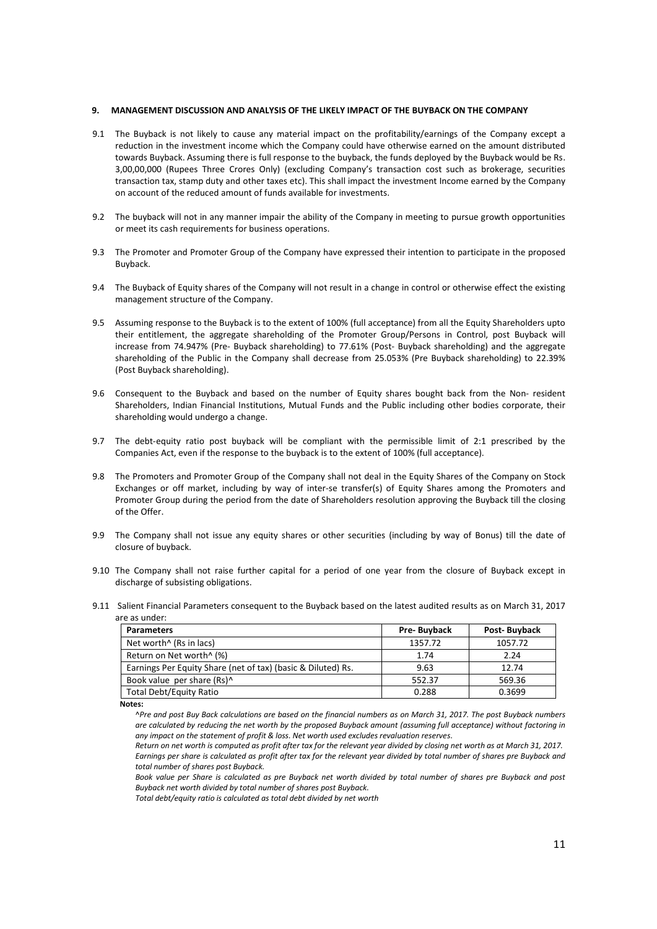### **9. MANAGEMENT DISCUSSION AND ANALYSIS OF THE LIKELY IMPACT OF THE BUYBACK ON THE COMPANY**

- 9.1 The Buyback is not likely to cause any material impact on the profitability/earnings of the Company except a reduction in the investment income which the Company could have otherwise earned on the amount distributed towards Buyback. Assuming there is full response to the buyback, the funds deployed by the Buyback would be Rs. 3,00,00,000 (Rupees Three Crores Only) (excluding Company's transaction cost such as brokerage, securities transaction tax, stamp duty and other taxes etc). This shall impact the investment Income earned by the Company on account of the reduced amount of funds available for investments.
- 9.2 The buyback will not in any manner impair the ability of the Company in meeting to pursue growth opportunities or meet its cash requirements for business operations.
- 9.3 The Promoter and Promoter Group of the Company have expressed their intention to participate in the proposed Buyback.
- 9.4 The Buyback of Equity shares of the Company will not result in a change in control or otherwise effect the existing management structure of the Company.
- 9.5 Assuming response to the Buyback is to the extent of 100% (full acceptance) from all the Equity Shareholders upto their entitlement, the aggregate shareholding of the Promoter Group/Persons in Control, post Buyback will increase from 74.947% (Pre- Buyback shareholding) to 77.61% (Post- Buyback shareholding) and the aggregate shareholding of the Public in the Company shall decrease from 25.053% (Pre Buyback shareholding) to 22.39% (Post Buyback shareholding).
- 9.6 Consequent to the Buyback and based on the number of Equity shares bought back from the Non- resident Shareholders, Indian Financial Institutions, Mutual Funds and the Public including other bodies corporate, their shareholding would undergo a change.
- 9.7 The debt-equity ratio post buyback will be compliant with the permissible limit of 2:1 prescribed by the Companies Act, even if the response to the buyback is to the extent of 100% (full acceptance).
- 9.8 The Promoters and Promoter Group of the Company shall not deal in the Equity Shares of the Company on Stock Exchanges or off market, including by way of inter-se transfer(s) of Equity Shares among the Promoters and Promoter Group during the period from the date of Shareholders resolution approving the Buyback till the closing of the Offer.
- 9.9 The Company shall not issue any equity shares or other securities (including by way of Bonus) till the date of closure of buyback.
- 9.10 The Company shall not raise further capital for a period of one year from the closure of Buyback except in discharge of subsisting obligations.
- 9.11 Salient Financial Parameters consequent to the Buyback based on the latest audited results as on March 31, 2017 are as under:

| <b>Parameters</b>                                            | Pre-Buyback | Post-Buyback |
|--------------------------------------------------------------|-------------|--------------|
| Net worth <sup>^</sup> (Rs in lacs)                          | 1357.72     | 1057.72      |
| Return on Net worth <sup>^</sup> (%)                         | 1.74        | 2.24         |
| Earnings Per Equity Share (net of tax) (basic & Diluted) Rs. | 9.63        | 12.74        |
| Book value per share (Rs)^                                   | 552.37      | 569.36       |
| <b>Total Debt/Equity Ratio</b>                               | 0.288       | 0.3699       |

**Notes:** 

*Total debt/equity ratio is calculated as total debt divided by net worth*

<sup>^</sup>*Pre and post Buy Back calculations are based on the financial numbers as on March 31, 2017. The post Buyback numbers are calculated by reducing the net worth by the proposed Buyback amount (assuming full acceptance) without factoring in any impact on the statement of profit & loss. Net worth used excludes revaluation reserves*.

*Return on net worth is computed as profit after tax for the relevant year divided by closing net worth as at March 31, 2017. Earnings per share is calculated as profit after tax for the relevant year divided by total number of shares pre Buyback and total number of shares post Buyback.* 

*Book value per Share is calculated as pre Buyback net worth divided by total number of shares pre Buyback and post Buyback net worth divided by total number of shares post Buyback.*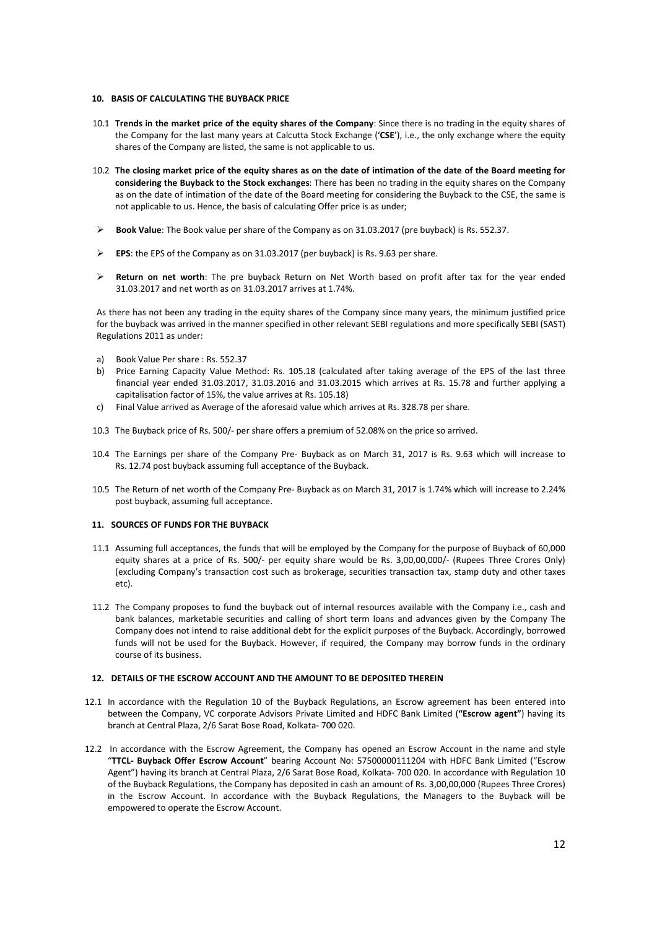#### **10. BASIS OF CALCULATING THE BUYBACK PRICE**

- 10.1 **Trends in the market price of the equity shares of the Company**: Since there is no trading in the equity shares of the Company for the last many years at Calcutta Stock Exchange ('**CSE**'), i.e., the only exchange where the equity shares of the Company are listed, the same is not applicable to us.
- 10.2 **The closing market price of the equity shares as on the date of intimation of the date of the Board meeting for considering the Buyback to the Stock exchanges**: There has been no trading in the equity shares on the Company as on the date of intimation of the date of the Board meeting for considering the Buyback to the CSE, the same is not applicable to us. Hence, the basis of calculating Offer price is as under;
- **Book Value**: The Book value per share of the Company as on 31.03.2017 (pre buyback) is Rs. 552.37.
- **EPS**: the EPS of the Company as on 31.03.2017 (per buyback) is Rs. 9.63 per share.
- **Return on net worth**: The pre buyback Return on Net Worth based on profit after tax for the year ended 31.03.2017 and net worth as on 31.03.2017 arrives at 1.74%.

As there has not been any trading in the equity shares of the Company since many years, the minimum justified price for the buyback was arrived in the manner specified in other relevant SEBI regulations and more specifically SEBI (SAST) Regulations 2011 as under:

- a) Book Value Per share : Rs. 552.37
- b) Price Earning Capacity Value Method: Rs. 105.18 (calculated after taking average of the EPS of the last three financial year ended 31.03.2017, 31.03.2016 and 31.03.2015 which arrives at Rs. 15.78 and further applying a capitalisation factor of 15%, the value arrives at Rs. 105.18)
- c) Final Value arrived as Average of the aforesaid value which arrives at Rs. 328.78 per share.
- 10.3 The Buyback price of Rs. 500/- per share offers a premium of 52.08% on the price so arrived.
- 10.4 The Earnings per share of the Company Pre- Buyback as on March 31, 2017 is Rs. 9.63 which will increase to Rs. 12.74 post buyback assuming full acceptance of the Buyback.
- 10.5 The Return of net worth of the Company Pre- Buyback as on March 31, 2017 is 1.74% which will increase to 2.24% post buyback, assuming full acceptance.

# **11. SOURCES OF FUNDS FOR THE BUYBACK**

- 11.1 Assuming full acceptances, the funds that will be employed by the Company for the purpose of Buyback of 60,000 equity shares at a price of Rs. 500/- per equity share would be Rs. 3,00,00,000/- (Rupees Three Crores Only) (excluding Company's transaction cost such as brokerage, securities transaction tax, stamp duty and other taxes etc).
- 11.2 The Company proposes to fund the buyback out of internal resources available with the Company i.e., cash and bank balances, marketable securities and calling of short term loans and advances given by the Company The Company does not intend to raise additional debt for the explicit purposes of the Buyback. Accordingly, borrowed funds will not be used for the Buyback. However, if required, the Company may borrow funds in the ordinary course of its business.

### **12. DETAILS OF THE ESCROW ACCOUNT AND THE AMOUNT TO BE DEPOSITED THEREIN**

- 12.1 In accordance with the Regulation 10 of the Buyback Regulations, an Escrow agreement has been entered into between the Company, VC corporate Advisors Private Limited and HDFC Bank Limited (**"Escrow agent"**) having its branch at Central Plaza, 2/6 Sarat Bose Road, Kolkata- 700 020.
- 12.2 In accordance with the Escrow Agreement, the Company has opened an Escrow Account in the name and style "**TTCL- Buyback Offer Escrow Account**" bearing Account No: 57500000111204 with HDFC Bank Limited ("Escrow Agent") having its branch at Central Plaza, 2/6 Sarat Bose Road, Kolkata- 700 020. In accordance with Regulation 10 of the Buyback Regulations, the Company has deposited in cash an amount of Rs. 3,00,00,000 (Rupees Three Crores) in the Escrow Account. In accordance with the Buyback Regulations, the Managers to the Buyback will be empowered to operate the Escrow Account.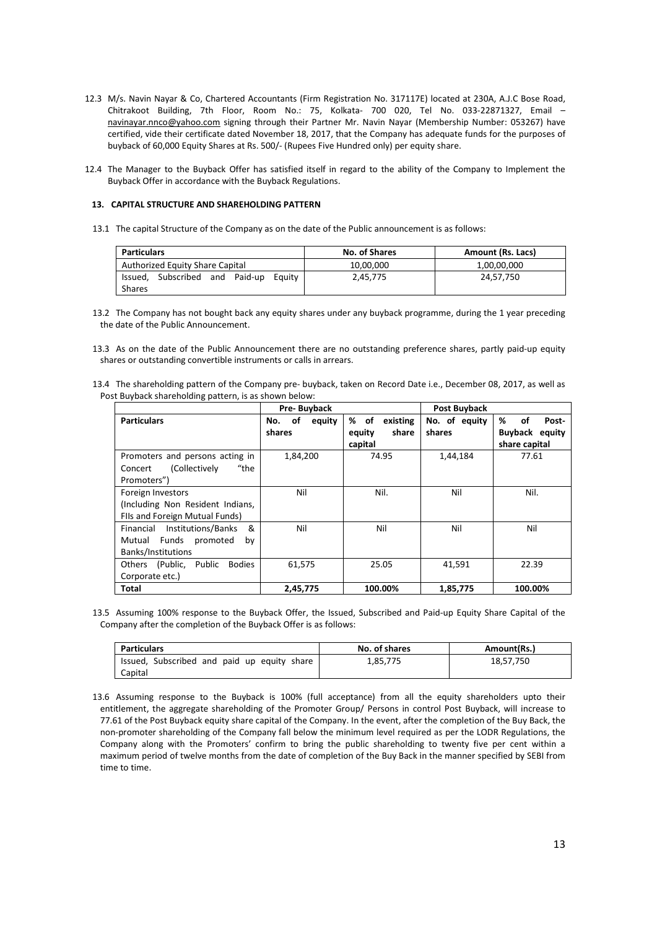- 12.3 M/s. Navin Nayar & Co, Chartered Accountants (Firm Registration No. 317117E) located at 230A, A.J.C Bose Road, Chitrakoot Building, 7th Floor, Room No.: 75, Kolkata- 700 020, Tel No. 033-22871327, Email – navinayar.nnco@yahoo.com signing through their Partner Mr. Navin Nayar (Membership Number: 053267) have certified, vide their certificate dated November 18, 2017, that the Company has adequate funds for the purposes of buyback of 60,000 Equity Shares at Rs. 500/- (Rupees Five Hundred only) per equity share.
- 12.4 The Manager to the Buyback Offer has satisfied itself in regard to the ability of the Company to Implement the Buyback Offer in accordance with the Buyback Regulations.

### **13. CAPITAL STRUCTURE AND SHAREHOLDING PATTERN**

13.1 The capital Structure of the Company as on the date of the Public announcement is as follows:

| <b>Particulars</b>                          |  |           |             | No. of Shares | <b>Amount (Rs. Lacs)</b> |  |
|---------------------------------------------|--|-----------|-------------|---------------|--------------------------|--|
| Authorized Equity Share Capital             |  | 10.00.000 | 1,00,00,000 |               |                          |  |
| Subscribed and Paid-up<br>Issued.<br>Eauity |  | 2,45,775  | 24.57.750   |               |                          |  |
| Shares                                      |  |           |             |               |                          |  |

13.2 The Company has not bought back any equity shares under any buyback programme, during the 1 year preceding the date of the Public Announcement.

13.3 As on the date of the Public Announcement there are no outstanding preference shares, partly paid-up equity shares or outstanding convertible instruments or calls in arrears.

13.4 The shareholding pattern of the Company pre- buyback, taken on Record Date i.e., December 08, 2017, as well as Post Buyback shareholding pattern, is as shown below:

|                                            | Pre-Buyback         |                  | Post Buyback  |                       |
|--------------------------------------------|---------------------|------------------|---------------|-----------------------|
| <b>Particulars</b>                         | оf<br>No.<br>equity | % of<br>existing | No. of equity | %<br>οf<br>Post-      |
|                                            | shares              | share<br>equity  | shares        | <b>Buyback equity</b> |
|                                            |                     | capital          |               | share capital         |
| Promoters and persons acting in            | 1,84,200            | 74.95            | 1,44,184      | 77.61                 |
| $"$ the<br>(Collectively<br>Concert        |                     |                  |               |                       |
| Promoters")                                |                     |                  |               |                       |
| Foreign Investors                          | Nil                 | Nil.             | Nil           | Nil.                  |
| (Including Non Resident Indians,           |                     |                  |               |                       |
| Fils and Foreign Mutual Funds)             |                     |                  |               |                       |
| Institutions/Banks<br>&<br>Financial       | Nil                 | Nil              | Nil           | Nil                   |
| Funds<br>promoted<br>Mutual<br>by          |                     |                  |               |                       |
| Banks/Institutions                         |                     |                  |               |                       |
| Others (Public,<br>Public<br><b>Bodies</b> | 61,575              | 25.05            | 41,591        | 22.39                 |
| Corporate etc.)                            |                     |                  |               |                       |
| Total                                      | 2,45,775            | 100.00%          | 1,85,775      | 100.00%               |

13.5 Assuming 100% response to the Buyback Offer, the Issued, Subscribed and Paid-up Equity Share Capital of the Company after the completion of the Buyback Offer is as follows:

| Particulars                                 | No. of shares | Amount(Rs.) |
|---------------------------------------------|---------------|-------------|
| Issued, Subscribed and paid up equity share | 1,85,775      | 18,57,750   |
| Capital                                     |               |             |

13.6 Assuming response to the Buyback is 100% (full acceptance) from all the equity shareholders upto their entitlement, the aggregate shareholding of the Promoter Group/ Persons in control Post Buyback, will increase to 77.61 of the Post Buyback equity share capital of the Company. In the event, after the completion of the Buy Back, the non-promoter shareholding of the Company fall below the minimum level required as per the LODR Regulations, the Company along with the Promoters' confirm to bring the public shareholding to twenty five per cent within a maximum period of twelve months from the date of completion of the Buy Back in the manner specified by SEBI from time to time.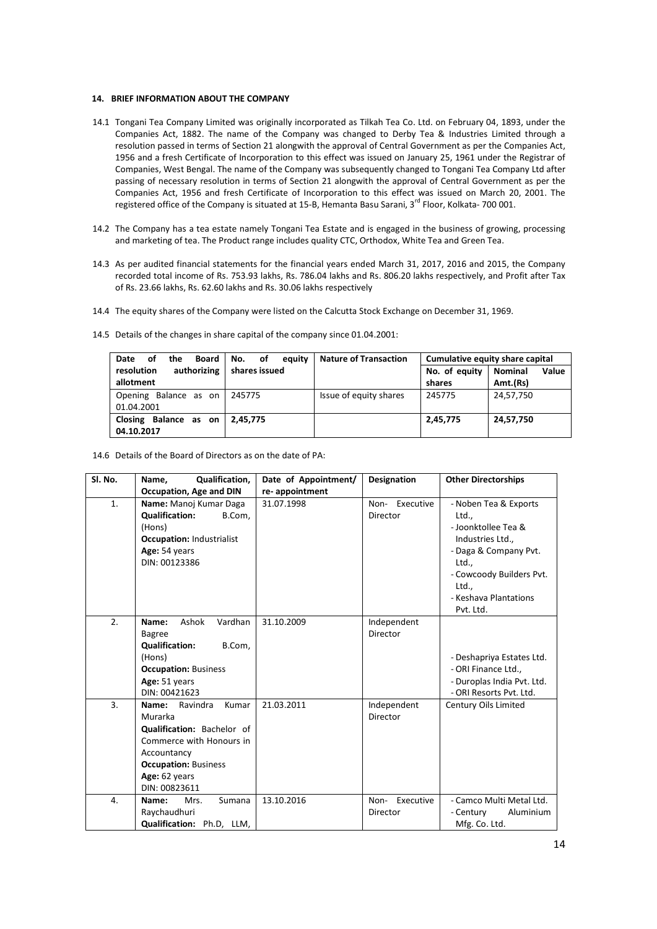#### **14. BRIEF INFORMATION ABOUT THE COMPANY**

- 14.1 Tongani Tea Company Limited was originally incorporated as Tilkah Tea Co. Ltd. on February 04, 1893, under the Companies Act, 1882. The name of the Company was changed to Derby Tea & Industries Limited through a resolution passed in terms of Section 21 alongwith the approval of Central Government as per the Companies Act, 1956 and a fresh Certificate of Incorporation to this effect was issued on January 25, 1961 under the Registrar of Companies, West Bengal. The name of the Company was subsequently changed to Tongani Tea Company Ltd after passing of necessary resolution in terms of Section 21 alongwith the approval of Central Government as per the Companies Act, 1956 and fresh Certificate of Incorporation to this effect was issued on March 20, 2001. The registered office of the Company is situated at 15-B, Hemanta Basu Sarani, 3rd Floor, Kolkata- 700 001.
- 14.2 The Company has a tea estate namely Tongani Tea Estate and is engaged in the business of growing, processing and marketing of tea. The Product range includes quality CTC, Orthodox, White Tea and Green Tea.
- 14.3 As per audited financial statements for the financial years ended March 31, 2017, 2016 and 2015, the Company recorded total income of Rs. 753.93 lakhs, Rs. 786.04 lakhs and Rs. 806.20 lakhs respectively, and Profit after Tax of Rs. 23.66 lakhs, Rs. 62.60 lakhs and Rs. 30.06 lakhs respectively
- 14.4 The equity shares of the Company were listed on the Calcutta Stock Exchange on December 31, 1969.

| the<br>Board<br>Date<br>οf | No.<br>оf<br>eauity | <b>Nature of Transaction</b> |               | Cumulative equity share capital |  |  |
|----------------------------|---------------------|------------------------------|---------------|---------------------------------|--|--|
| authorizing<br>resolution  | shares issued       |                              | No. of equity | <b>Nominal</b><br>Value         |  |  |
| allotment                  |                     |                              | shares        | Amt.(Rs)                        |  |  |
| Opening Balance as on      | 245775              | Issue of equity shares       | 245775        | 24,57,750                       |  |  |
| 01.04.2001                 |                     |                              |               |                                 |  |  |
| Closing Balance as on      | 2.45.775            |                              | 2,45,775      | 24,57,750                       |  |  |
| 04.10.2017                 |                     |                              |               |                                 |  |  |

14.5 Details of the changes in share capital of the company since 01.04.2001:

14.6 Details of the Board of Directors as on the date of PA:

| Sl. No. | Qualification,<br>Name,                                                                                                                                                         | Date of Appointment/ | Designation                   | <b>Other Directorships</b>                                                                                                                                                           |
|---------|---------------------------------------------------------------------------------------------------------------------------------------------------------------------------------|----------------------|-------------------------------|--------------------------------------------------------------------------------------------------------------------------------------------------------------------------------------|
|         | <b>Occupation, Age and DIN</b>                                                                                                                                                  | re-appointment       |                               |                                                                                                                                                                                      |
| 1.      | Name: Manoj Kumar Daga<br><b>Qualification:</b><br>B.Com,<br>(Hons)<br><b>Occupation: Industrialist</b><br>Age: 54 years<br>DIN: 00123386                                       | 31.07.1998           | Executive<br>Non-<br>Director | - Noben Tea & Exports<br>Ltd<br>- Joonktollee Tea &<br>Industries Ltd.,<br>- Daga & Company Pvt.<br>Ltd.,<br>- Cowcoody Builders Pvt.<br>Ltd.,<br>- Keshava Plantations<br>Pvt. Ltd. |
| 2.      | Ashok<br>Vardhan<br>Name:<br><b>Bagree</b><br>B.Com,<br><b>Qualification:</b><br>(Hons)<br><b>Occupation: Business</b><br>Age: 51 years<br>DIN: 00421623                        | 31.10.2009           | Independent<br>Director       | - Deshapriya Estates Ltd.<br>- ORI Finance Ltd.,<br>- Duroplas India Pvt. Ltd.<br>- ORI Resorts Pvt. Ltd.                                                                            |
| 3.      | Name:<br>Ravindra<br>Kumar<br>Murarka<br>Qualification: Bachelor of<br>Commerce with Honours in<br>Accountancy<br><b>Occupation: Business</b><br>Age: 62 years<br>DIN: 00823611 | 21.03.2011           | Independent<br>Director       | Century Oils Limited                                                                                                                                                                 |
| 4.      | Sumana<br>Name:<br>Mrs.<br>Raychaudhuri<br>Qualification: Ph.D, LLM,                                                                                                            | 13.10.2016           | Executive<br>Non-<br>Director | - Camco Multi Metal Ltd.<br>Aluminium<br>- Century<br>Mfg. Co. Ltd.                                                                                                                  |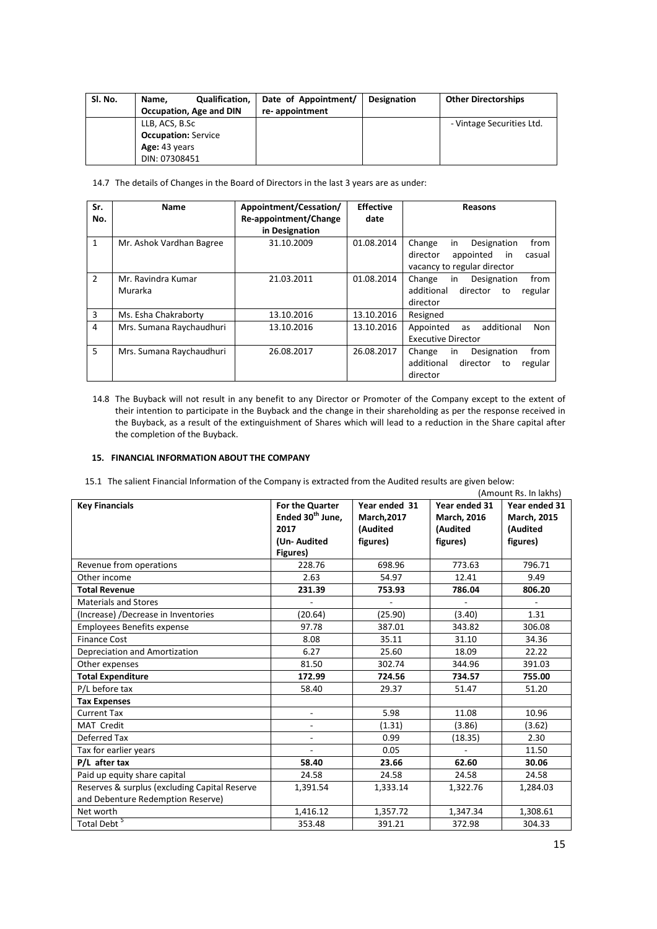| Sl. No. | Qualification,<br>Name.<br>Occupation, Age and DIN | Date of Appointment/<br>re-appointment | Designation | <b>Other Directorships</b> |
|---------|----------------------------------------------------|----------------------------------------|-------------|----------------------------|
|         | LLB, ACS, B.Sc<br><b>Occupation: Service</b>       |                                        |             | - Vintage Securities Ltd.  |
|         | Age: 43 years<br>DIN: 07308451                     |                                        |             |                            |

14.7 The details of Changes in the Board of Directors in the last 3 years are as under:

| Sr.            | <b>Name</b>              | Appointment/Cessation/ | <b>Effective</b> | <b>Reasons</b>                          |
|----------------|--------------------------|------------------------|------------------|-----------------------------------------|
| No.            |                          | Re-appointment/Change  | date             |                                         |
|                |                          | in Designation         |                  |                                         |
| $\mathbf{1}$   | Mr. Ashok Vardhan Bagree | 31.10.2009             | 01.08.2014       | in<br>Designation<br>Change<br>from     |
|                |                          |                        |                  | director<br>casual<br>appointed<br>in   |
|                |                          |                        |                  | vacancy to regular director             |
| $\overline{2}$ | Mr. Ravindra Kumar       | 21.03.2011             | 01.08.2014       | from<br>Change<br>in<br>Designation     |
|                | Murarka                  |                        |                  | additional<br>director<br>regular<br>to |
|                |                          |                        |                  | director                                |
| 3              | Ms. Esha Chakraborty     | 13.10.2016             | 13.10.2016       | Resigned                                |
| 4              | Mrs. Sumana Raychaudhuri | 13.10.2016             | 13.10.2016       | additional<br>Appointed<br>Non<br>as    |
|                |                          |                        |                  | <b>Executive Director</b>               |
| 5              | Mrs. Sumana Raychaudhuri | 26.08.2017             | 26.08.2017       | from<br>Designation<br>Change<br>in.    |
|                |                          |                        |                  | additional<br>director<br>regular<br>to |
|                |                          |                        |                  | director                                |

14.8 The Buyback will not result in any benefit to any Director or Promoter of the Company except to the extent of their intention to participate in the Buyback and the change in their shareholding as per the response received in the Buyback, as a result of the extinguishment of Shares which will lead to a reduction in the Share capital after the completion of the Buyback.

## **15. FINANCIAL INFORMATION ABOUT THE COMPANY**

15.1 The salient Financial Information of the Company is extracted from the Audited results are given below:

|                                               |                              |                    |                    | (Amount Rs. In lakhs) |
|-----------------------------------------------|------------------------------|--------------------|--------------------|-----------------------|
| <b>Key Financials</b>                         | For the Quarter              | Year ended 31      | Year ended 31      | Year ended 31         |
|                                               | Ended 30 <sup>th</sup> June, | <b>March, 2017</b> | <b>March, 2016</b> | <b>March, 2015</b>    |
|                                               | 2017                         | (Audited           | (Audited           | (Audited              |
|                                               | (Un-Audited                  | figures)           | figures)           | figures)              |
|                                               | Figures)                     |                    |                    |                       |
| Revenue from operations                       | 228.76                       | 698.96             | 773.63             | 796.71                |
| Other income                                  | 2.63                         | 54.97              | 12.41              | 9.49                  |
| <b>Total Revenue</b>                          | 231.39                       | 753.93             | 786.04             | 806.20                |
| <b>Materials and Stores</b>                   |                              |                    |                    |                       |
| (Increase) /Decrease in Inventories           | (20.64)                      | (25.90)            | (3.40)             | 1.31                  |
| <b>Employees Benefits expense</b>             | 97.78                        | 387.01             | 343.82             | 306.08                |
| <b>Finance Cost</b>                           | 8.08                         | 35.11              | 31.10              | 34.36                 |
| Depreciation and Amortization                 | 6.27                         | 25.60              | 18.09              | 22.22                 |
| Other expenses                                | 81.50                        | 302.74             | 344.96             | 391.03                |
| <b>Total Expenditure</b>                      | 172.99                       | 724.56             | 734.57             | 755.00                |
| P/L before tax                                | 58.40                        | 29.37              | 51.47              | 51.20                 |
| <b>Tax Expenses</b>                           |                              |                    |                    |                       |
| <b>Current Tax</b>                            | $\overline{\phantom{m}}$     | 5.98               | 11.08              | 10.96                 |
| MAT Credit                                    | $\overline{a}$               | (1.31)             | (3.86)             | (3.62)                |
| Deferred Tax                                  | $\overline{\phantom{a}}$     | 0.99               | (18.35)            | 2.30                  |
| Tax for earlier years                         |                              | 0.05               |                    | 11.50                 |
| P/L after tax                                 | 58.40                        | 23.66              | 62.60              | 30.06                 |
| Paid up equity share capital                  | 24.58                        | 24.58              | 24.58              | 24.58                 |
| Reserves & surplus (excluding Capital Reserve | 1,391.54                     | 1,333.14           | 1,322.76           | 1,284.03              |
| and Debenture Redemption Reserve)             |                              |                    |                    |                       |
| Net worth                                     | 1,416.12                     | 1,357.72           | 1,347.34           | 1,308.61              |
| Total Debt <sup>5</sup>                       | 353.48                       | 391.21             | 372.98             | 304.33                |
|                                               |                              |                    |                    |                       |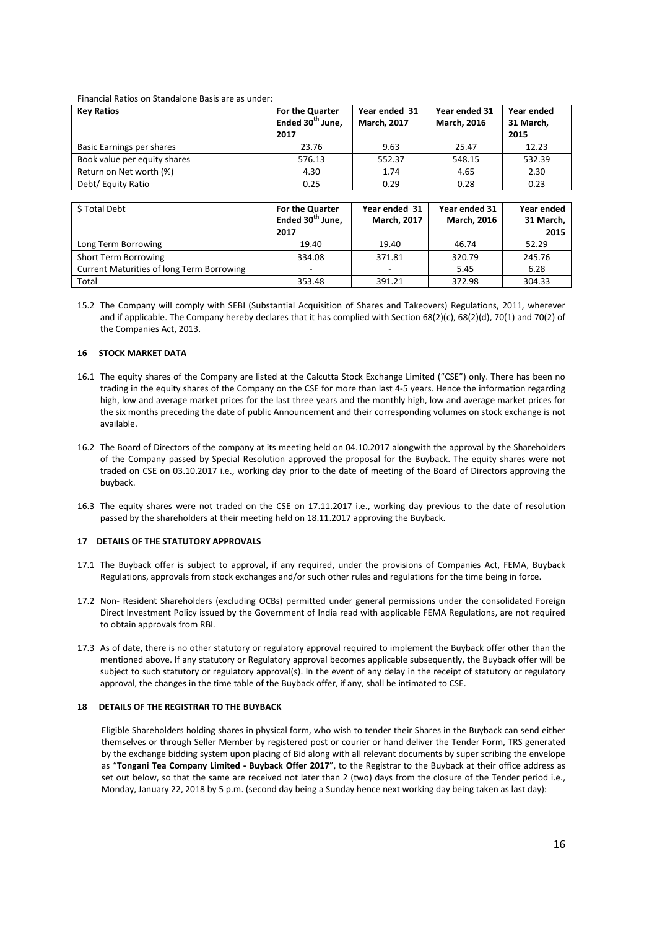#### Financial Ratios on Standalone Basis are as under:

| <b>Key Ratios</b>            | For the Quarter<br>Ended 30 <sup>th</sup> June,<br>2017 | Year ended 31<br><b>March, 2017</b> | Year ended 31<br><b>March, 2016</b> | Year ended<br>31 March,<br>2015 |
|------------------------------|---------------------------------------------------------|-------------------------------------|-------------------------------------|---------------------------------|
| Basic Earnings per shares    | 23.76                                                   | 9.63                                | 25.47                               | 12.23                           |
| Book value per equity shares | 576.13                                                  | 552.37                              | 548.15                              | 532.39                          |
| Return on Net worth (%)      | 4.30                                                    | 1.74                                | 4.65                                | 2.30                            |
| Debt/ Equity Ratio           | 0.25                                                    | 0.29                                | 0.28                                | 0.23                            |

| \$Total Debt                                     | For the Quarter<br>Ended 30 <sup>th</sup> June,<br>2017 | Year ended 31<br><b>March, 2017</b> | Year ended 31<br><b>March, 2016</b> | Year ended<br>31 March,<br>2015 |
|--------------------------------------------------|---------------------------------------------------------|-------------------------------------|-------------------------------------|---------------------------------|
| Long Term Borrowing                              | 19.40                                                   | 19.40                               | 46.74                               | 52.29                           |
| Short Term Borrowing                             | 334.08                                                  | 371.81                              | 320.79                              | 245.76                          |
| <b>Current Maturities of long Term Borrowing</b> |                                                         |                                     | 5.45                                | 6.28                            |
| Total                                            | 353.48                                                  | 391.21                              | 372.98                              | 304.33                          |

15.2 The Company will comply with SEBI (Substantial Acquisition of Shares and Takeovers) Regulations, 2011, wherever and if applicable. The Company hereby declares that it has complied with Section 68(2)(c), 68(2)(d), 70(1) and 70(2) of the Companies Act, 2013.

#### **16 STOCK MARKET DATA**

- 16.1 The equity shares of the Company are listed at the Calcutta Stock Exchange Limited ("CSE") only. There has been no trading in the equity shares of the Company on the CSE for more than last 4-5 years. Hence the information regarding high, low and average market prices for the last three years and the monthly high, low and average market prices for the six months preceding the date of public Announcement and their corresponding volumes on stock exchange is not available.
- 16.2 The Board of Directors of the company at its meeting held on 04.10.2017 alongwith the approval by the Shareholders of the Company passed by Special Resolution approved the proposal for the Buyback. The equity shares were not traded on CSE on 03.10.2017 i.e., working day prior to the date of meeting of the Board of Directors approving the buyback.
- 16.3 The equity shares were not traded on the CSE on 17.11.2017 i.e., working day previous to the date of resolution passed by the shareholders at their meeting held on 18.11.2017 approving the Buyback.

### **17 DETAILS OF THE STATUTORY APPROVALS**

- 17.1 The Buyback offer is subject to approval, if any required, under the provisions of Companies Act, FEMA, Buyback Regulations, approvals from stock exchanges and/or such other rules and regulations for the time being in force.
- 17.2 Non- Resident Shareholders (excluding OCBs) permitted under general permissions under the consolidated Foreign Direct Investment Policy issued by the Government of India read with applicable FEMA Regulations, are not required to obtain approvals from RBI.
- 17.3 As of date, there is no other statutory or regulatory approval required to implement the Buyback offer other than the mentioned above. If any statutory or Regulatory approval becomes applicable subsequently, the Buyback offer will be subject to such statutory or regulatory approval(s). In the event of any delay in the receipt of statutory or regulatory approval, the changes in the time table of the Buyback offer, if any, shall be intimated to CSE.

## **18 DETAILS OF THE REGISTRAR TO THE BUYBACK**

Eligible Shareholders holding shares in physical form, who wish to tender their Shares in the Buyback can send either themselves or through Seller Member by registered post or courier or hand deliver the Tender Form, TRS generated by the exchange bidding system upon placing of Bid along with all relevant documents by super scribing the envelope as "**Tongani Tea Company Limited - Buyback Offer 2017**", to the Registrar to the Buyback at their office address as set out below, so that the same are received not later than 2 (two) days from the closure of the Tender period i.e., Monday, January 22, 2018 by 5 p.m. (second day being a Sunday hence next working day being taken as last day):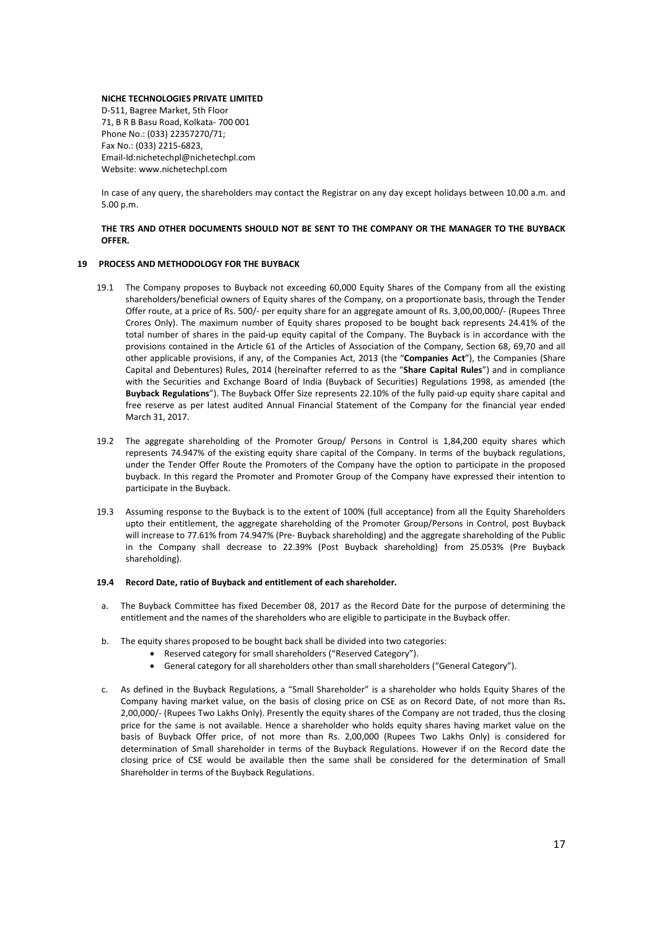#### **NICHE TECHNOLOGIES PRIVATE LIMITED**

D-511, Bagree Market, 5th Floor 71, B R B Basu Road, Kolkata- 700 001 Phone No.: (033) 22357270/71; Fax No.: (033) 2215-6823, Email-Id:nichetechpl@nichetechpl.com Website: www.nichetechpl.com

In case of any query, the shareholders may contact the Registrar on any day except holidays between 10.00 a.m. and 5.00 p.m.

## **THE TRS AND OTHER DOCUMENTS SHOULD NOT BE SENT TO THE COMPANY OR THE MANAGER TO THE BUYBACK OFFER.**

### **19 PROCESS AND METHODOLOGY FOR THE BUYBACK**

- 19.1 The Company proposes to Buyback not exceeding 60,000 Equity Shares of the Company from all the existing shareholders/beneficial owners of Equity shares of the Company, on a proportionate basis, through the Tender Offer route, at a price of Rs. 500/- per equity share for an aggregate amount of Rs. 3,00,00,000/- (Rupees Three Crores Only). The maximum number of Equity shares proposed to be bought back represents 24.41% of the total number of shares in the paid-up equity capital of the Company. The Buyback is in accordance with the provisions contained in the Article 61 of the Articles of Association of the Company, Section 68, 69,70 and all other applicable provisions, if any, of the Companies Act, 2013 (the "**Companies Act**"), the Companies (Share Capital and Debentures) Rules, 2014 (hereinafter referred to as the "**Share Capital Rules**") and in compliance with the Securities and Exchange Board of India (Buyback of Securities) Regulations 1998, as amended (the **Buyback Regulations**"). The Buyback Offer Size represents 22.10% of the fully paid-up equity share capital and free reserve as per latest audited Annual Financial Statement of the Company for the financial year ended March 31, 2017.
- 19.2 The aggregate shareholding of the Promoter Group/ Persons in Control is 1,84,200 equity shares which represents 74.947% of the existing equity share capital of the Company. In terms of the buyback regulations, under the Tender Offer Route the Promoters of the Company have the option to participate in the proposed buyback. In this regard the Promoter and Promoter Group of the Company have expressed their intention to participate in the Buyback.
- 19.3 Assuming response to the Buyback is to the extent of 100% (full acceptance) from all the Equity Shareholders upto their entitlement, the aggregate shareholding of the Promoter Group/Persons in Control, post Buyback will increase to 77.61% from 74.947% (Pre- Buyback shareholding) and the aggregate shareholding of the Public in the Company shall decrease to 22.39% (Post Buyback shareholding) from 25.053% (Pre Buyback shareholding).

### **19.4 Record Date, ratio of Buyback and entitlement of each shareholder.**

- a. The Buyback Committee has fixed December 08, 2017 as the Record Date for the purpose of determining the entitlement and the names of the shareholders who are eligible to participate in the Buyback offer.
- b. The equity shares proposed to be bought back shall be divided into two categories:
	- Reserved category for small shareholders ("Reserved Category").
	- General category for all shareholders other than small shareholders ("General Category").
- c. As defined in the Buyback Regulations, a "Small Shareholder" is a shareholder who holds Equity Shares of the Company having market value, on the basis of closing price on CSE as on Record Date, of not more than Rs**.**  2,00,000/- (Rupees Two Lakhs Only). Presently the equity shares of the Company are not traded, thus the closing price for the same is not available. Hence a shareholder who holds equity shares having market value on the basis of Buyback Offer price, of not more than Rs. 2,00,000 (Rupees Two Lakhs Only) is considered for determination of Small shareholder in terms of the Buyback Regulations. However if on the Record date the closing price of CSE would be available then the same shall be considered for the determination of Small Shareholder in terms of the Buyback Regulations.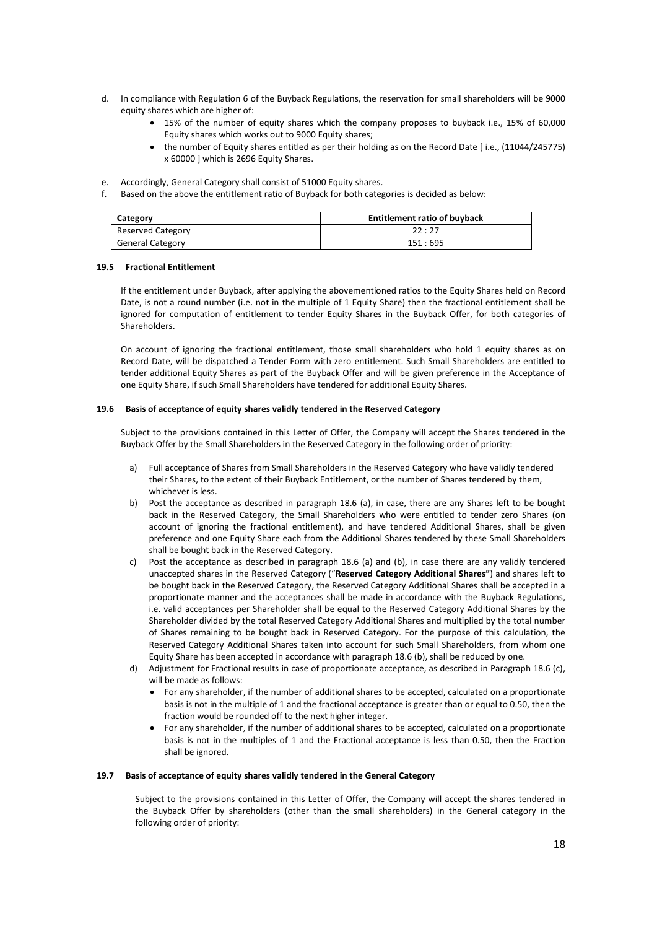- d. In compliance with Regulation 6 of the Buyback Regulations, the reservation for small shareholders will be 9000 equity shares which are higher of:
	- 15% of the number of equity shares which the company proposes to buyback i.e., 15% of 60,000 Equity shares which works out to 9000 Equity shares;
	- the number of Equity shares entitled as per their holding as on the Record Date [ i.e., (11044/245775) x 60000 ] which is 2696 Equity Shares.
- e. Accordingly, General Category shall consist of 51000 Equity shares.
- f. Based on the above the entitlement ratio of Buyback for both categories is decided as below:

| Category                | <b>Entitlement ratio of buyback</b> |  |
|-------------------------|-------------------------------------|--|
| Reserved Category       | 22:27                               |  |
| <b>General Category</b> | 151:695                             |  |

### **19.5 Fractional Entitlement**

If the entitlement under Buyback, after applying the abovementioned ratios to the Equity Shares held on Record Date, is not a round number (i.e. not in the multiple of 1 Equity Share) then the fractional entitlement shall be ignored for computation of entitlement to tender Equity Shares in the Buyback Offer, for both categories of Shareholders.

On account of ignoring the fractional entitlement, those small shareholders who hold 1 equity shares as on Record Date, will be dispatched a Tender Form with zero entitlement. Such Small Shareholders are entitled to tender additional Equity Shares as part of the Buyback Offer and will be given preference in the Acceptance of one Equity Share, if such Small Shareholders have tendered for additional Equity Shares.

### **19.6 Basis of acceptance of equity shares validly tendered in the Reserved Category**

Subject to the provisions contained in this Letter of Offer, the Company will accept the Shares tendered in the Buyback Offer by the Small Shareholders in the Reserved Category in the following order of priority:

- a) Full acceptance of Shares from Small Shareholders in the Reserved Category who have validly tendered their Shares, to the extent of their Buyback Entitlement, or the number of Shares tendered by them, whichever is less.
- b) Post the acceptance as described in paragraph 18.6 (a), in case, there are any Shares left to be bought back in the Reserved Category, the Small Shareholders who were entitled to tender zero Shares (on account of ignoring the fractional entitlement), and have tendered Additional Shares, shall be given preference and one Equity Share each from the Additional Shares tendered by these Small Shareholders shall be bought back in the Reserved Category.
- c) Post the acceptance as described in paragraph 18.6 (a) and (b), in case there are any validly tendered unaccepted shares in the Reserved Category ("**Reserved Category Additional Shares"**) and shares left to be bought back in the Reserved Category, the Reserved Category Additional Shares shall be accepted in a proportionate manner and the acceptances shall be made in accordance with the Buyback Regulations, i.e. valid acceptances per Shareholder shall be equal to the Reserved Category Additional Shares by the Shareholder divided by the total Reserved Category Additional Shares and multiplied by the total number of Shares remaining to be bought back in Reserved Category. For the purpose of this calculation, the Reserved Category Additional Shares taken into account for such Small Shareholders, from whom one Equity Share has been accepted in accordance with paragraph 18.6 (b), shall be reduced by one.
- d) Adjustment for Fractional results in case of proportionate acceptance, as described in Paragraph 18.6 (c), will be made as follows:
	- For any shareholder, if the number of additional shares to be accepted, calculated on a proportionate basis is not in the multiple of 1 and the fractional acceptance is greater than or equal to 0.50, then the fraction would be rounded off to the next higher integer.
	- For any shareholder, if the number of additional shares to be accepted, calculated on a proportionate basis is not in the multiples of 1 and the Fractional acceptance is less than 0.50, then the Fraction shall be ignored.

### **19.7 Basis of acceptance of equity shares validly tendered in the General Category**

Subject to the provisions contained in this Letter of Offer, the Company will accept the shares tendered in the Buyback Offer by shareholders (other than the small shareholders) in the General category in the following order of priority: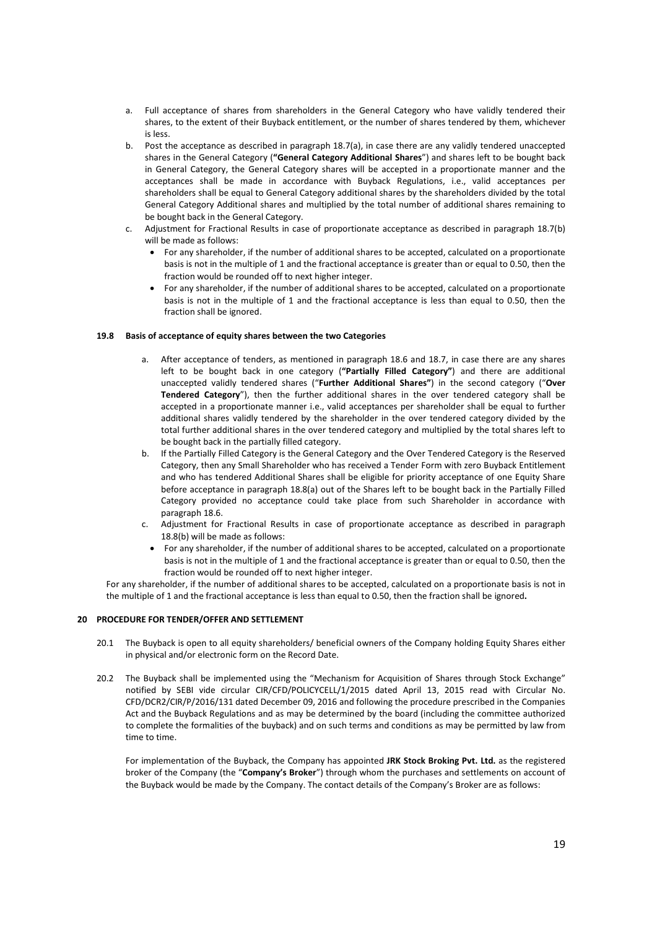- a. Full acceptance of shares from shareholders in the General Category who have validly tendered their shares, to the extent of their Buyback entitlement, or the number of shares tendered by them, whichever is less.
- b. Post the acceptance as described in paragraph 18.7(a), in case there are any validly tendered unaccepted shares in the General Category (**"General Category Additional Shares**") and shares left to be bought back in General Category, the General Category shares will be accepted in a proportionate manner and the acceptances shall be made in accordance with Buyback Regulations, i.e., valid acceptances per shareholders shall be equal to General Category additional shares by the shareholders divided by the total General Category Additional shares and multiplied by the total number of additional shares remaining to be bought back in the General Category.
- c. Adjustment for Fractional Results in case of proportionate acceptance as described in paragraph 18.7(b) will be made as follows:
	- For any shareholder, if the number of additional shares to be accepted, calculated on a proportionate basis is not in the multiple of 1 and the fractional acceptance is greater than or equal to 0.50, then the fraction would be rounded off to next higher integer.
	- For any shareholder, if the number of additional shares to be accepted, calculated on a proportionate basis is not in the multiple of 1 and the fractional acceptance is less than equal to 0.50, then the fraction shall be ignored.

## **19.8 Basis of acceptance of equity shares between the two Categories**

- a. After acceptance of tenders, as mentioned in paragraph 18.6 and 18.7, in case there are any shares left to be bought back in one category (**"Partially Filled Category"**) and there are additional unaccepted validly tendered shares ("**Further Additional Shares"**) in the second category ("**Over Tendered Category**"), then the further additional shares in the over tendered category shall be accepted in a proportionate manner i.e., valid acceptances per shareholder shall be equal to further additional shares validly tendered by the shareholder in the over tendered category divided by the total further additional shares in the over tendered category and multiplied by the total shares left to be bought back in the partially filled category.
- b. If the Partially Filled Category is the General Category and the Over Tendered Category is the Reserved Category, then any Small Shareholder who has received a Tender Form with zero Buyback Entitlement and who has tendered Additional Shares shall be eligible for priority acceptance of one Equity Share before acceptance in paragraph 18.8(a) out of the Shares left to be bought back in the Partially Filled Category provided no acceptance could take place from such Shareholder in accordance with paragraph 18.6.
- c. Adjustment for Fractional Results in case of proportionate acceptance as described in paragraph 18.8(b) will be made as follows:
	- For any shareholder, if the number of additional shares to be accepted, calculated on a proportionate basis is not in the multiple of 1 and the fractional acceptance is greater than or equal to 0.50, then the fraction would be rounded off to next higher integer.

For any shareholder, if the number of additional shares to be accepted, calculated on a proportionate basis is not in the multiple of 1 and the fractional acceptance is less than equal to 0.50, then the fraction shall be ignored**.** 

### **20 PROCEDURE FOR TENDER/OFFER AND SETTLEMENT**

- 20.1 The Buyback is open to all equity shareholders/ beneficial owners of the Company holding Equity Shares either in physical and/or electronic form on the Record Date.
- 20.2 The Buyback shall be implemented using the "Mechanism for Acquisition of Shares through Stock Exchange" notified by SEBI vide circular CIR/CFD/POLICYCELL/1/2015 dated April 13, 2015 read with Circular No. CFD/DCR2/CIR/P/2016/131 dated December 09, 2016 and following the procedure prescribed in the Companies Act and the Buyback Regulations and as may be determined by the board (including the committee authorized to complete the formalities of the buyback) and on such terms and conditions as may be permitted by law from time to time.

For implementation of the Buyback, the Company has appointed **JRK Stock Broking Pvt. Ltd.** as the registered broker of the Company (the "**Company's Broker**") through whom the purchases and settlements on account of the Buyback would be made by the Company. The contact details of the Company's Broker are as follows: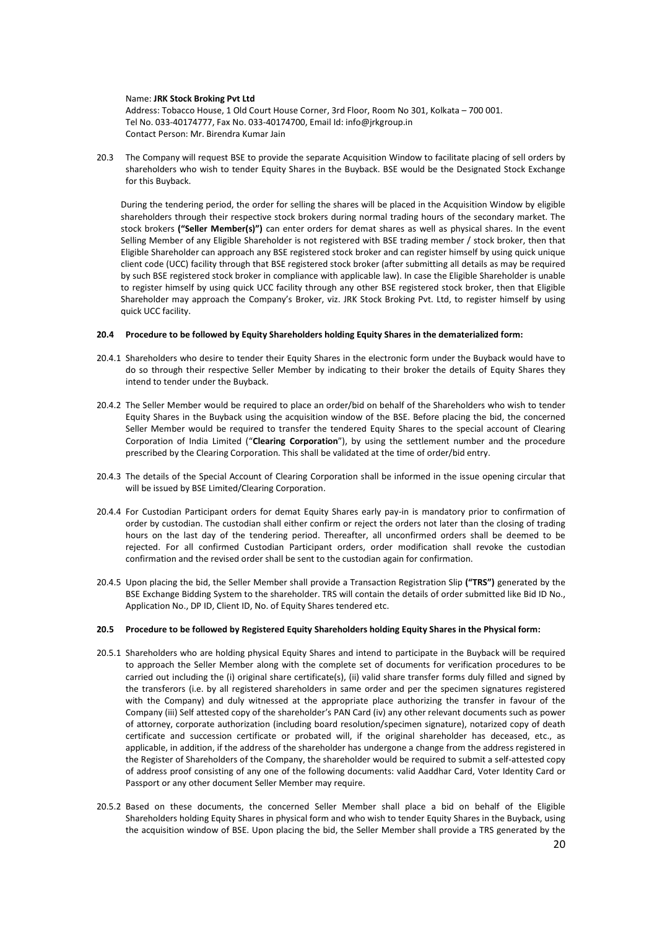#### Name: **JRK Stock Broking Pvt Ltd**

Address: Tobacco House, 1 Old Court House Corner, 3rd Floor, Room No 301, Kolkata – 700 001. Tel No. 033-40174777, Fax No. 033-40174700, Email Id: info@jrkgroup.in Contact Person: Mr. Birendra Kumar Jain

20.3 The Company will request BSE to provide the separate Acquisition Window to facilitate placing of sell orders by shareholders who wish to tender Equity Shares in the Buyback. BSE would be the Designated Stock Exchange for this Buyback.

During the tendering period, the order for selling the shares will be placed in the Acquisition Window by eligible shareholders through their respective stock brokers during normal trading hours of the secondary market. The stock brokers **("Seller Member(s)")** can enter orders for demat shares as well as physical shares. In the event Selling Member of any Eligible Shareholder is not registered with BSE trading member / stock broker, then that Eligible Shareholder can approach any BSE registered stock broker and can register himself by using quick unique client code (UCC) facility through that BSE registered stock broker (after submitting all details as may be required by such BSE registered stock broker in compliance with applicable law). In case the Eligible Shareholder is unable to register himself by using quick UCC facility through any other BSE registered stock broker, then that Eligible Shareholder may approach the Company's Broker, viz. JRK Stock Broking Pvt. Ltd, to register himself by using quick UCC facility.

### **20.4 Procedure to be followed by Equity Shareholders holding Equity Shares in the dematerialized form:**

- 20.4.1 Shareholders who desire to tender their Equity Shares in the electronic form under the Buyback would have to do so through their respective Seller Member by indicating to their broker the details of Equity Shares they intend to tender under the Buyback.
- 20.4.2 The Seller Member would be required to place an order/bid on behalf of the Shareholders who wish to tender Equity Shares in the Buyback using the acquisition window of the BSE. Before placing the bid, the concerned Seller Member would be required to transfer the tendered Equity Shares to the special account of Clearing Corporation of India Limited ("**Clearing Corporation**"), by using the settlement number and the procedure prescribed by the Clearing Corporation. This shall be validated at the time of order/bid entry.
- 20.4.3 The details of the Special Account of Clearing Corporation shall be informed in the issue opening circular that will be issued by BSE Limited/Clearing Corporation.
- 20.4.4 For Custodian Participant orders for demat Equity Shares early pay-in is mandatory prior to confirmation of order by custodian. The custodian shall either confirm or reject the orders not later than the closing of trading hours on the last day of the tendering period. Thereafter, all unconfirmed orders shall be deemed to be rejected. For all confirmed Custodian Participant orders, order modification shall revoke the custodian confirmation and the revised order shall be sent to the custodian again for confirmation.
- 20.4.5 Upon placing the bid, the Seller Member shall provide a Transaction Registration Slip **("TRS")** generated by the BSE Exchange Bidding System to the shareholder. TRS will contain the details of order submitted like Bid ID No., Application No., DP ID, Client ID, No. of Equity Shares tendered etc.

### **20.5 Procedure to be followed by Registered Equity Shareholders holding Equity Shares in the Physical form:**

- 20.5.1 Shareholders who are holding physical Equity Shares and intend to participate in the Buyback will be required to approach the Seller Member along with the complete set of documents for verification procedures to be carried out including the (i) original share certificate(s), (ii) valid share transfer forms duly filled and signed by the transferors (i.e. by all registered shareholders in same order and per the specimen signatures registered with the Company) and duly witnessed at the appropriate place authorizing the transfer in favour of the Company (iii) Self attested copy of the shareholder's PAN Card (iv) any other relevant documents such as power of attorney, corporate authorization (including board resolution/specimen signature), notarized copy of death certificate and succession certificate or probated will, if the original shareholder has deceased, etc., as applicable, in addition, if the address of the shareholder has undergone a change from the address registered in the Register of Shareholders of the Company, the shareholder would be required to submit a self-attested copy of address proof consisting of any one of the following documents: valid Aaddhar Card, Voter Identity Card or Passport or any other document Seller Member may require.
- 20.5.2 Based on these documents, the concerned Seller Member shall place a bid on behalf of the Eligible Shareholders holding Equity Shares in physical form and who wish to tender Equity Shares in the Buyback, using the acquisition window of BSE. Upon placing the bid, the Seller Member shall provide a TRS generated by the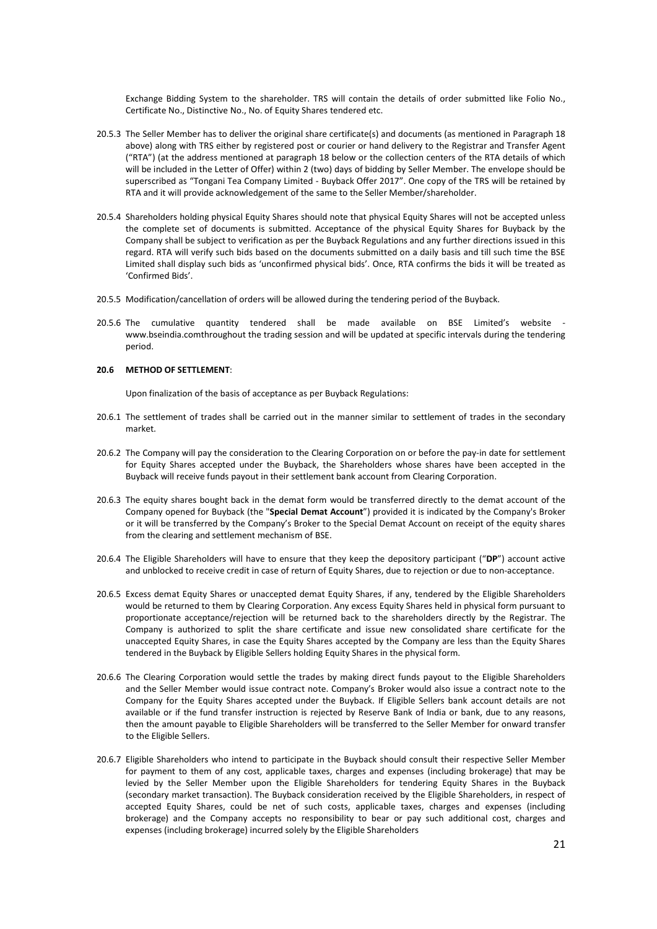Exchange Bidding System to the shareholder. TRS will contain the details of order submitted like Folio No., Certificate No., Distinctive No., No. of Equity Shares tendered etc.

- 20.5.3 The Seller Member has to deliver the original share certificate(s) and documents (as mentioned in Paragraph 18 above) along with TRS either by registered post or courier or hand delivery to the Registrar and Transfer Agent ("RTA") (at the address mentioned at paragraph 18 below or the collection centers of the RTA details of which will be included in the Letter of Offer) within 2 (two) days of bidding by Seller Member. The envelope should be superscribed as "Tongani Tea Company Limited - Buyback Offer 2017". One copy of the TRS will be retained by RTA and it will provide acknowledgement of the same to the Seller Member/shareholder.
- 20.5.4 Shareholders holding physical Equity Shares should note that physical Equity Shares will not be accepted unless the complete set of documents is submitted. Acceptance of the physical Equity Shares for Buyback by the Company shall be subject to verification as per the Buyback Regulations and any further directions issued in this regard. RTA will verify such bids based on the documents submitted on a daily basis and till such time the BSE Limited shall display such bids as 'unconfirmed physical bids'. Once, RTA confirms the bids it will be treated as 'Confirmed Bids'.
- 20.5.5 Modification/cancellation of orders will be allowed during the tendering period of the Buyback.
- 20.5.6 The cumulative quantity tendered shall be made available on BSE Limited's website www.bseindia.comthroughout the trading session and will be updated at specific intervals during the tendering period.

### **20.6 METHOD OF SETTLEMENT**:

Upon finalization of the basis of acceptance as per Buyback Regulations:

- 20.6.1 The settlement of trades shall be carried out in the manner similar to settlement of trades in the secondary market.
- 20.6.2 The Company will pay the consideration to the Clearing Corporation on or before the pay-in date for settlement for Equity Shares accepted under the Buyback, the Shareholders whose shares have been accepted in the Buyback will receive funds payout in their settlement bank account from Clearing Corporation.
- 20.6.3 The equity shares bought back in the demat form would be transferred directly to the demat account of the Company opened for Buyback (the "**Special Demat Account**") provided it is indicated by the Company's Broker or it will be transferred by the Company's Broker to the Special Demat Account on receipt of the equity shares from the clearing and settlement mechanism of BSE.
- 20.6.4 The Eligible Shareholders will have to ensure that they keep the depository participant ("**DP**") account active and unblocked to receive credit in case of return of Equity Shares, due to rejection or due to non-acceptance.
- 20.6.5 Excess demat Equity Shares or unaccepted demat Equity Shares, if any, tendered by the Eligible Shareholders would be returned to them by Clearing Corporation. Any excess Equity Shares held in physical form pursuant to proportionate acceptance/rejection will be returned back to the shareholders directly by the Registrar. The Company is authorized to split the share certificate and issue new consolidated share certificate for the unaccepted Equity Shares, in case the Equity Shares accepted by the Company are less than the Equity Shares tendered in the Buyback by Eligible Sellers holding Equity Shares in the physical form.
- 20.6.6 The Clearing Corporation would settle the trades by making direct funds payout to the Eligible Shareholders and the Seller Member would issue contract note. Company's Broker would also issue a contract note to the Company for the Equity Shares accepted under the Buyback. If Eligible Sellers bank account details are not available or if the fund transfer instruction is rejected by Reserve Bank of India or bank, due to any reasons, then the amount payable to Eligible Shareholders will be transferred to the Seller Member for onward transfer to the Eligible Sellers.
- 20.6.7 Eligible Shareholders who intend to participate in the Buyback should consult their respective Seller Member for payment to them of any cost, applicable taxes, charges and expenses (including brokerage) that may be levied by the Seller Member upon the Eligible Shareholders for tendering Equity Shares in the Buyback (secondary market transaction). The Buyback consideration received by the Eligible Shareholders, in respect of accepted Equity Shares, could be net of such costs, applicable taxes, charges and expenses (including brokerage) and the Company accepts no responsibility to bear or pay such additional cost, charges and expenses (including brokerage) incurred solely by the Eligible Shareholders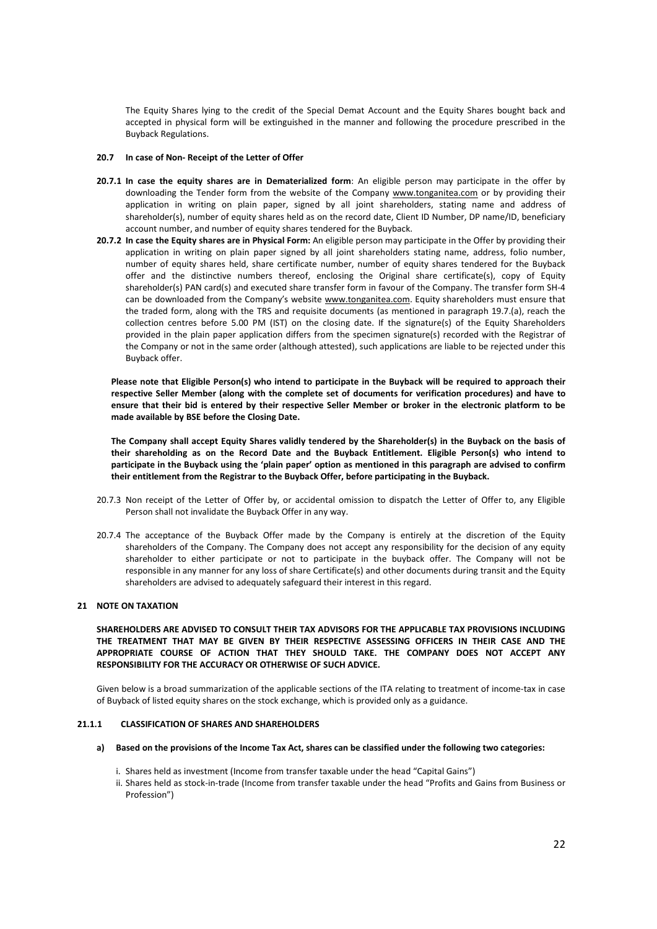The Equity Shares lying to the credit of the Special Demat Account and the Equity Shares bought back and accepted in physical form will be extinguished in the manner and following the procedure prescribed in the Buyback Regulations.

### **20.7 In case of Non- Receipt of the Letter of Offer**

- **20.7.1 In case the equity shares are in Dematerialized form**: An eligible person may participate in the offer by downloading the Tender form from the website of the Company www.tonganitea.com or by providing their application in writing on plain paper, signed by all joint shareholders, stating name and address of shareholder(s), number of equity shares held as on the record date, Client ID Number, DP name/ID, beneficiary account number, and number of equity shares tendered for the Buyback.
- **20.7.2 In case the Equity shares are in Physical Form:** An eligible person may participate in the Offer by providing their application in writing on plain paper signed by all joint shareholders stating name, address, folio number, number of equity shares held, share certificate number, number of equity shares tendered for the Buyback offer and the distinctive numbers thereof, enclosing the Original share certificate(s), copy of Equity shareholder(s) PAN card(s) and executed share transfer form in favour of the Company. The transfer form SH-4 can be downloaded from the Company's website www.tonganitea.com. Equity shareholders must ensure that the traded form, along with the TRS and requisite documents (as mentioned in paragraph 19.7.(a), reach the collection centres before 5.00 PM (IST) on the closing date. If the signature(s) of the Equity Shareholders provided in the plain paper application differs from the specimen signature(s) recorded with the Registrar of the Company or not in the same order (although attested), such applications are liable to be rejected under this Buyback offer.

**Please note that Eligible Person(s) who intend to participate in the Buyback will be required to approach their respective Seller Member (along with the complete set of documents for verification procedures) and have to ensure that their bid is entered by their respective Seller Member or broker in the electronic platform to be made available by BSE before the Closing Date.** 

**The Company shall accept Equity Shares validly tendered by the Shareholder(s) in the Buyback on the basis of their shareholding as on the Record Date and the Buyback Entitlement. Eligible Person(s) who intend to participate in the Buyback using the 'plain paper' option as mentioned in this paragraph are advised to confirm their entitlement from the Registrar to the Buyback Offer, before participating in the Buyback.** 

- 20.7.3 Non receipt of the Letter of Offer by, or accidental omission to dispatch the Letter of Offer to, any Eligible Person shall not invalidate the Buyback Offer in any way.
- 20.7.4 The acceptance of the Buyback Offer made by the Company is entirely at the discretion of the Equity shareholders of the Company. The Company does not accept any responsibility for the decision of any equity shareholder to either participate or not to participate in the buyback offer. The Company will not be responsible in any manner for any loss of share Certificate(s) and other documents during transit and the Equity shareholders are advised to adequately safeguard their interest in this regard.

### **21 NOTE ON TAXATION**

**SHAREHOLDERS ARE ADVISED TO CONSULT THEIR TAX ADVISORS FOR THE APPLICABLE TAX PROVISIONS INCLUDING THE TREATMENT THAT MAY BE GIVEN BY THEIR RESPECTIVE ASSESSING OFFICERS IN THEIR CASE AND THE APPROPRIATE COURSE OF ACTION THAT THEY SHOULD TAKE. THE COMPANY DOES NOT ACCEPT ANY RESPONSIBILITY FOR THE ACCURACY OR OTHERWISE OF SUCH ADVICE.**

Given below is a broad summarization of the applicable sections of the ITA relating to treatment of income-tax in case of Buyback of listed equity shares on the stock exchange, which is provided only as a guidance.

#### **21.1.1 CLASSIFICATION OF SHARES AND SHAREHOLDERS**

- **a) Based on the provisions of the Income Tax Act, shares can be classified under the following two categories:** 
	- i. Shares held as investment (Income from transfer taxable under the head "Capital Gains")
	- ii. Shares held as stock-in-trade (Income from transfer taxable under the head "Profits and Gains from Business or Profession")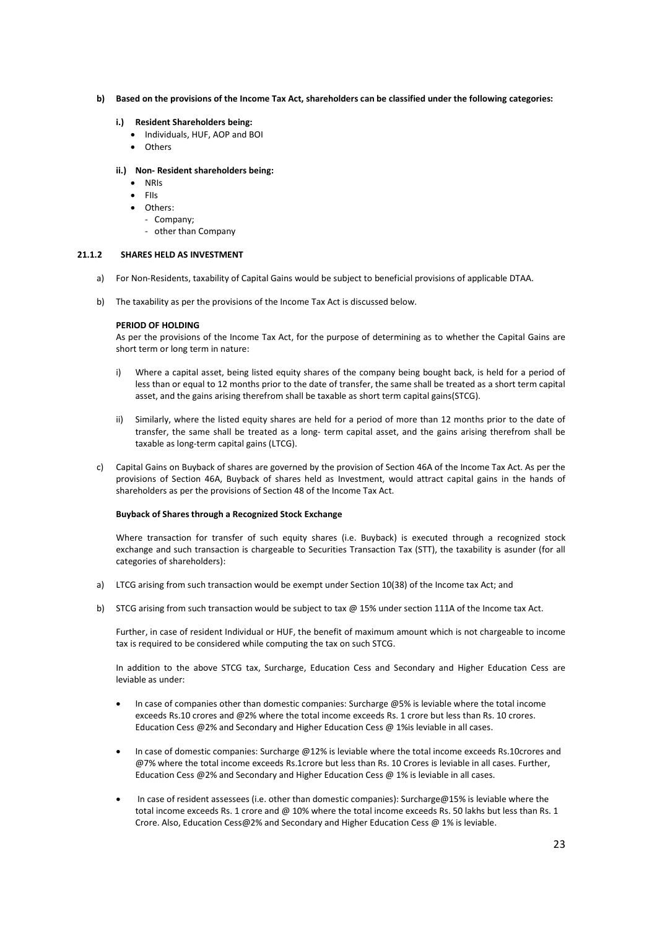- **b) Based on the provisions of the Income Tax Act, shareholders can be classified under the following categories:** 
	- **i.) Resident Shareholders being:** 
		- Individuals, HUF, AOP and BOI
		- **Others**

### **ii.) Non- Resident shareholders being:**

- NRIs
- $\bullet$  Fils
- Others:
	- Company;
	- other than Company

# **21.1.2 SHARES HELD AS INVESTMENT**

- a) For Non-Residents, taxability of Capital Gains would be subject to beneficial provisions of applicable DTAA.
- b) The taxability as per the provisions of the Income Tax Act is discussed below.

## **PERIOD OF HOLDING**

As per the provisions of the Income Tax Act, for the purpose of determining as to whether the Capital Gains are short term or long term in nature:

- i) Where a capital asset, being listed equity shares of the company being bought back, is held for a period of less than or equal to 12 months prior to the date of transfer, the same shall be treated as a short term capital asset, and the gains arising therefrom shall be taxable as short term capital gains(STCG).
- ii) Similarly, where the listed equity shares are held for a period of more than 12 months prior to the date of transfer, the same shall be treated as a long- term capital asset, and the gains arising therefrom shall be taxable as long-term capital gains (LTCG).
- c) Capital Gains on Buyback of shares are governed by the provision of Section 46A of the Income Tax Act. As per the provisions of Section 46A, Buyback of shares held as Investment, would attract capital gains in the hands of shareholders as per the provisions of Section 48 of the Income Tax Act.

### **Buyback of Shares through a Recognized Stock Exchange**

Where transaction for transfer of such equity shares (i.e. Buyback) is executed through a recognized stock exchange and such transaction is chargeable to Securities Transaction Tax (STT), the taxability is asunder (for all categories of shareholders):

- a) LTCG arising from such transaction would be exempt under Section 10(38) of the Income tax Act; and
- b) STCG arising from such transaction would be subject to tax @ 15% under section 111A of the Income tax Act.

Further, in case of resident Individual or HUF, the benefit of maximum amount which is not chargeable to income tax is required to be considered while computing the tax on such STCG.

In addition to the above STCG tax, Surcharge, Education Cess and Secondary and Higher Education Cess are leviable as under:

- In case of companies other than domestic companies: Surcharge @5% is leviable where the total income exceeds Rs.10 crores and @2% where the total income exceeds Rs. 1 crore but less than Rs. 10 crores. Education Cess @2% and Secondary and Higher Education Cess @ 1%is leviable in all cases.
- In case of domestic companies: Surcharge @12% is leviable where the total income exceeds Rs.10crores and @7% where the total income exceeds Rs.1crore but less than Rs. 10 Crores is leviable in all cases. Further, Education Cess @2% and Secondary and Higher Education Cess @ 1% is leviable in all cases.
- In case of resident assessees (i.e. other than domestic companies): Surcharge@15% is leviable where the total income exceeds Rs. 1 crore and @ 10% where the total income exceeds Rs. 50 lakhs but less than Rs. 1 Crore. Also, Education Cess@2% and Secondary and Higher Education Cess @ 1% is leviable.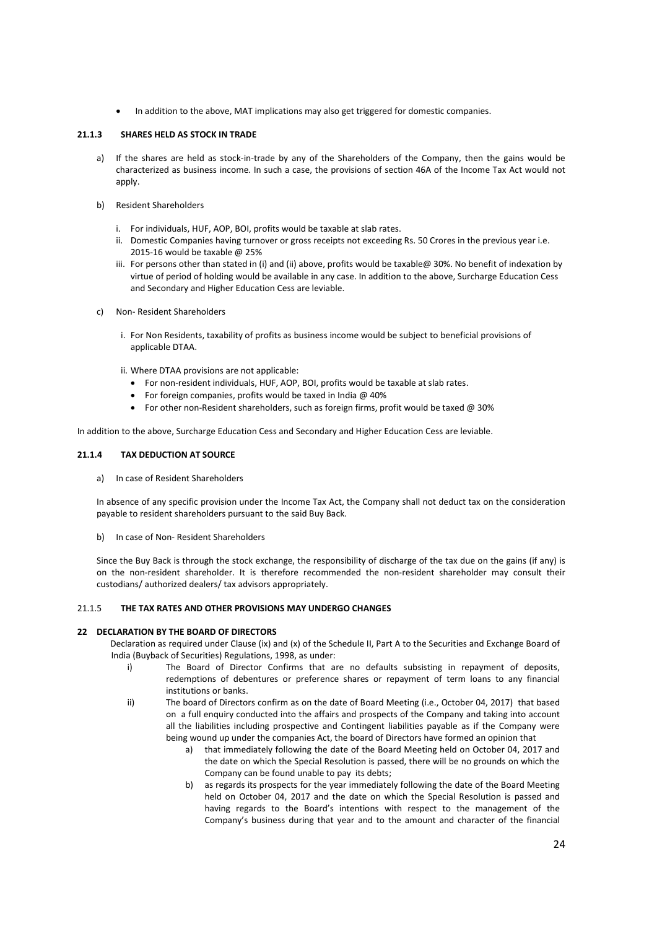In addition to the above, MAT implications may also get triggered for domestic companies.

## **21.1.3 SHARES HELD AS STOCK IN TRADE**

- a) If the shares are held as stock-in-trade by any of the Shareholders of the Company, then the gains would be characterized as business income. In such a case, the provisions of section 46A of the Income Tax Act would not apply.
- b) Resident Shareholders
	- i. For individuals, HUF, AOP, BOI, profits would be taxable at slab rates.
	- ii. Domestic Companies having turnover or gross receipts not exceeding Rs. 50 Crores in the previous year i.e. 2015-16 would be taxable @ 25%
	- iii. For persons other than stated in (i) and (ii) above, profits would be taxable@ 30%. No benefit of indexation by virtue of period of holding would be available in any case. In addition to the above, Surcharge Education Cess and Secondary and Higher Education Cess are leviable.
- c) Non- Resident Shareholders
	- i. For Non Residents, taxability of profits as business income would be subject to beneficial provisions of applicable DTAA.

ii. Where DTAA provisions are not applicable:

- For non-resident individuals, HUF, AOP, BOI, profits would be taxable at slab rates.
- For foreign companies, profits would be taxed in India @ 40%
- For other non-Resident shareholders, such as foreign firms, profit would be taxed  $@30\%$

In addition to the above, Surcharge Education Cess and Secondary and Higher Education Cess are leviable.

## **21.1.4 TAX DEDUCTION AT SOURCE**

a) In case of Resident Shareholders

In absence of any specific provision under the Income Tax Act, the Company shall not deduct tax on the consideration payable to resident shareholders pursuant to the said Buy Back.

b) In case of Non- Resident Shareholders

Since the Buy Back is through the stock exchange, the responsibility of discharge of the tax due on the gains (if any) is on the non-resident shareholder. It is therefore recommended the non-resident shareholder may consult their custodians/ authorized dealers/ tax advisors appropriately.

# 21.1.5 **THE TAX RATES AND OTHER PROVISIONS MAY UNDERGO CHANGES**

### **22 DECLARATION BY THE BOARD OF DIRECTORS**

 Declaration as required under Clause (ix) and (x) of the Schedule II, Part A to the Securities and Exchange Board of India (Buyback of Securities) Regulations, 1998, as under:

- i) The Board of Director Confirms that are no defaults subsisting in repayment of deposits, redemptions of debentures or preference shares or repayment of term loans to any financial institutions or banks.
- ii) The board of Directors confirm as on the date of Board Meeting (i.e., October 04, 2017) that based on a full enquiry conducted into the affairs and prospects of the Company and taking into account all the liabilities including prospective and Contingent liabilities payable as if the Company were being wound up under the companies Act, the board of Directors have formed an opinion that
	- a) that immediately following the date of the Board Meeting held on October 04, 2017 and the date on which the Special Resolution is passed, there will be no grounds on which the Company can be found unable to pay its debts;
	- b) as regards its prospects for the year immediately following the date of the Board Meeting held on October 04, 2017 and the date on which the Special Resolution is passed and having regards to the Board's intentions with respect to the management of the Company's business during that year and to the amount and character of the financial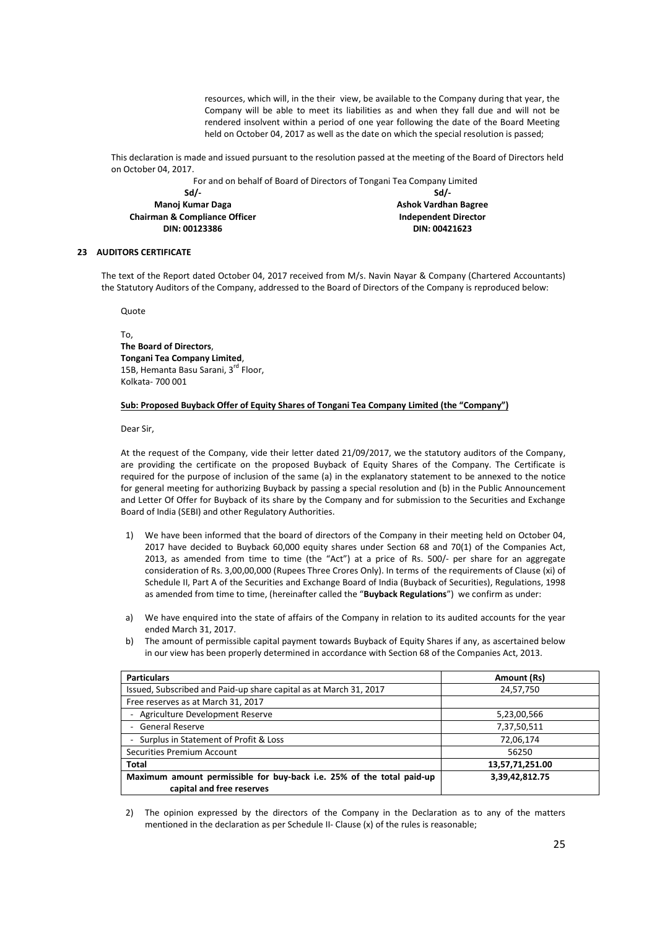resources, which will, in the their view, be available to the Company during that year, the Company will be able to meet its liabilities as and when they fall due and will not be rendered insolvent within a period of one year following the date of the Board Meeting held on October 04, 2017 as well as the date on which the special resolution is passed;

This declaration is made and issued pursuant to the resolution passed at the meeting of the Board of Directors held on October 04, 2017.

For and on behalf of Board of Directors of Tongani Tea Company Limited

**Sd/- Manoj Kumar Daga Chairman & Compliance Officer DIN: 00123386** 

**Sd/- Ashok Vardhan Bagree Independent Director DIN: 00421623** 

# **23 AUDITORS CERTIFICATE**

The text of the Report dated October 04, 2017 received from M/s. Navin Nayar & Company (Chartered Accountants) the Statutory Auditors of the Company, addressed to the Board of Directors of the Company is reproduced below:

Quote

To, **The Board of Directors**, **Tongani Tea Company Limited**, 15B, Hemanta Basu Sarani, 3<sup>rd</sup> Floor, Kolkata- 700 001

### **Sub: Proposed Buyback Offer of Equity Shares of Tongani Tea Company Limited (the "Company")**

Dear Sir,

At the request of the Company, vide their letter dated 21/09/2017, we the statutory auditors of the Company, are providing the certificate on the proposed Buyback of Equity Shares of the Company. The Certificate is required for the purpose of inclusion of the same (a) in the explanatory statement to be annexed to the notice for general meeting for authorizing Buyback by passing a special resolution and (b) in the Public Announcement and Letter Of Offer for Buyback of its share by the Company and for submission to the Securities and Exchange Board of India (SEBI) and other Regulatory Authorities.

- 1) We have been informed that the board of directors of the Company in their meeting held on October 04, 2017 have decided to Buyback 60,000 equity shares under Section 68 and 70(1) of the Companies Act, 2013, as amended from time to time (the "Act") at a price of Rs. 500/- per share for an aggregate consideration of Rs. 3,00,00,000 (Rupees Three Crores Only). In terms of the requirements of Clause (xi) of Schedule II, Part A of the Securities and Exchange Board of India (Buyback of Securities), Regulations, 1998 as amended from time to time, (hereinafter called the "**Buyback Regulations**") we confirm as under:
- a) We have enquired into the state of affairs of the Company in relation to its audited accounts for the year ended March 31, 2017.
- b) The amount of permissible capital payment towards Buyback of Equity Shares if any, as ascertained below in our view has been properly determined in accordance with Section 68 of the Companies Act, 2013.

| <b>Particulars</b>                                                                                 | Amount (Rs)     |
|----------------------------------------------------------------------------------------------------|-----------------|
| Issued, Subscribed and Paid-up share capital as at March 31, 2017                                  | 24,57,750       |
| Free reserves as at March 31, 2017                                                                 |                 |
| Agriculture Development Reserve                                                                    | 5,23,00,566     |
| - General Reserve                                                                                  | 7,37,50,511     |
| - Surplus in Statement of Profit & Loss                                                            | 72,06,174       |
| Securities Premium Account                                                                         | 56250           |
| <b>Total</b>                                                                                       | 13,57,71,251.00 |
| Maximum amount permissible for buy-back i.e. 25% of the total paid-up<br>capital and free reserves | 3,39,42,812.75  |

2) The opinion expressed by the directors of the Company in the Declaration as to any of the matters mentioned in the declaration as per Schedule II- Clause (x) of the rules is reasonable;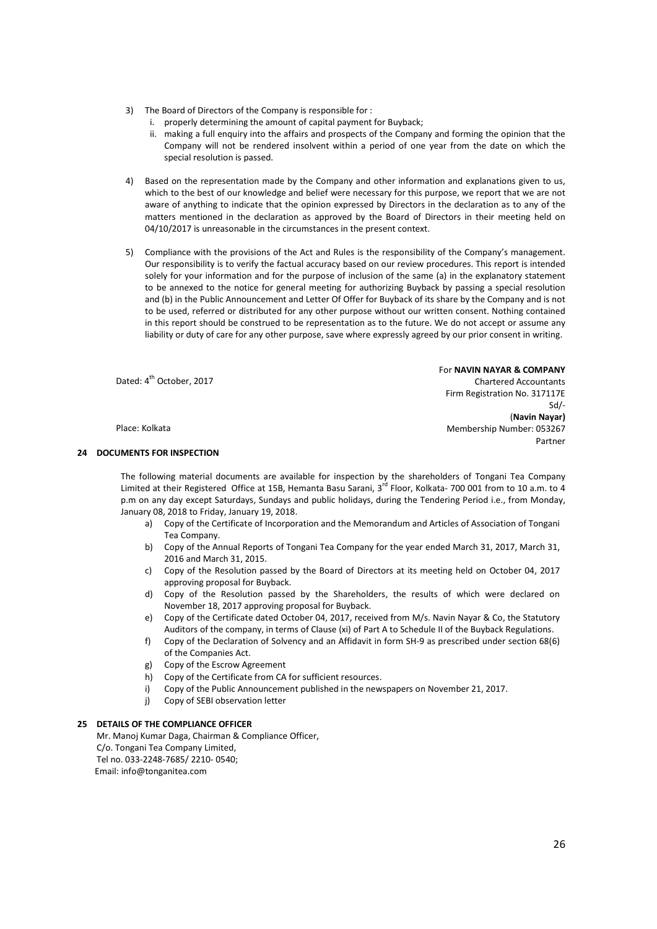- 3) The Board of Directors of the Company is responsible for :
	- i. properly determining the amount of capital payment for Buyback;
	- ii. making a full enquiry into the affairs and prospects of the Company and forming the opinion that the Company will not be rendered insolvent within a period of one year from the date on which the special resolution is passed.
- 4) Based on the representation made by the Company and other information and explanations given to us, which to the best of our knowledge and belief were necessary for this purpose, we report that we are not aware of anything to indicate that the opinion expressed by Directors in the declaration as to any of the matters mentioned in the declaration as approved by the Board of Directors in their meeting held on 04/10/2017 is unreasonable in the circumstances in the present context.
- 5) Compliance with the provisions of the Act and Rules is the responsibility of the Company's management. Our responsibility is to verify the factual accuracy based on our review procedures. This report is intended solely for your information and for the purpose of inclusion of the same (a) in the explanatory statement to be annexed to the notice for general meeting for authorizing Buyback by passing a special resolution and (b) in the Public Announcement and Letter Of Offer for Buyback of its share by the Company and is not to be used, referred or distributed for any other purpose without our written consent. Nothing contained in this report should be construed to be representation as to the future. We do not accept or assume any liability or duty of care for any other purpose, save where expressly agreed by our prior consent in writing.

Dated: 4<sup>th</sup> October, 2017

Place: Kolkata

## **24 DOCUMENTS FOR INSPECTION**

The following material documents are available for inspection by the shareholders of Tongani Tea Company Limited at their Registered Office at 15B, Hemanta Basu Sarani, 3<sup>rd</sup> Floor, Kolkata- 700 001 from to 10 a.m. to 4 p.m on any day except Saturdays, Sundays and public holidays, during the Tendering Period i.e., from Monday, January 08, 2018 to Friday, January 19, 2018.

- a) Copy of the Certificate of Incorporation and the Memorandum and Articles of Association of Tongani Tea Company.
- b) Copy of the Annual Reports of Tongani Tea Company for the year ended March 31, 2017, March 31, 2016 and March 31, 2015.
- c) Copy of the Resolution passed by the Board of Directors at its meeting held on October 04, 2017 approving proposal for Buyback.
- d) Copy of the Resolution passed by the Shareholders, the results of which were declared on November 18, 2017 approving proposal for Buyback.
- e) Copy of the Certificate dated October 04, 2017, received from M/s. Navin Nayar & Co, the Statutory Auditors of the company, in terms of Clause (xi) of Part A to Schedule II of the Buyback Regulations.
- f) Copy of the Declaration of Solvency and an Affidavit in form SH-9 as prescribed under section 68(6) of the Companies Act.
- g) Copy of the Escrow Agreement
- h) Copy of the Certificate from CA for sufficient resources.
- i) Copy of the Public Announcement published in the newspapers on November 21, 2017.
- j) Copy of SEBI observation letter

### **25 DETAILS OF THE COMPLIANCE OFFICER**

Mr. Manoj Kumar Daga, Chairman & Compliance Officer, C/o. Tongani Tea Company Limited, Tel no. 033-2248-7685/ 2210- 0540; Email: info@tonganitea.com

Chartered Accountants Firm Registration No. 317117E Sd/- (**Navin Nayar)** Membership Number: 053267 Partner

For **NAVIN NAYAR & COMPANY**